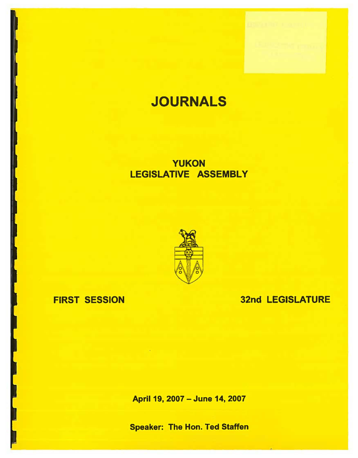# **JOURNALS**

## YUKON LEGISLATIVE ASSEMBLY



## FIRST SESSION

## 32nd LEGISLATURE

April 19, 2007 - June 14, 2007

Speaker: The Hon. Ted Staffen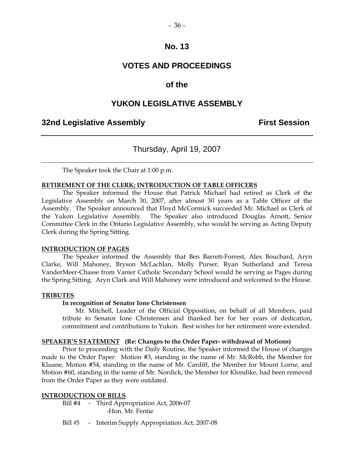## **VOTES AND PROCEEDINGS**

## **of the**

## **YUKON LEGISLATIVE ASSEMBLY**

## **32nd Legislative Assembly First Session**

## Thursday, April 19, 2007

The Speaker took the Chair at 1:00 p.m.

#### **RETIREMENT OF THE CLERK; INTRODUCTION OF TABLE OFFICERS**

 The Speaker informed the House that Patrick Michael had retired as Clerk of the Legislative Assembly on March 30, 2007, after almost 30 years as a Table Officer of the Assembly. The Speaker announced that Floyd McCormick succeeded Mr. Michael as Clerk of the Yukon Legislative Assembly. The Speaker also introduced Douglas Arnott, Senior Committee Clerk in the Ontario Legislative Assembly, who would be serving as Acting Deputy Clerk during the Spring Sitting.

#### **INTRODUCTION OF PAGES**

 The Speaker informed the Assembly that Ben Barrett-Forrest, Alex Bouchard, Aryn Clarke, Will Mahoney, Bryson McLachlan, Molly Purser, Ryan Sutherland and Teresa VanderMeer-Chasse from Vanier Catholic Secondary School would be serving as Pages during the Spring Sitting. Aryn Clark and Will Mahoney were introduced and welcomed to the House.

#### **TRIBUTES**

### **In recognition of Senator Ione Christensen**

 Mr. Mitchell, Leader of the Official Opposition, on behalf of all Members, paid tribute to Senator Ione Christensen and thanked her for her years of dedication, commitment and contributions to Yukon. Best wishes for her retirement were extended.

#### **SPEAKER'S STATEMENT (Re: Changes to the Order Paper- withdrawal of Motions)**

 Prior to proceeding with the Daily Routine, the Speaker informed the House of changes made to the Order Paper. Motion #3, standing in the name of Mr. McRobb, the Member for Kluane, Motion #54, standing in the name of Mr. Cardiff, the Member for Mount Lorne, and Motion #60, standing in the name of Mr. Nordick, the Member for Klondike, had been removed from the Order Paper as they were outdated.

### **INTRODUCTION OF BILLS**

Bill #4 - Third Appropriation Act, 2006-07 -Hon. Mr. Fentie

Bill #5 - Interim Supply Appropriation Act, 2007-08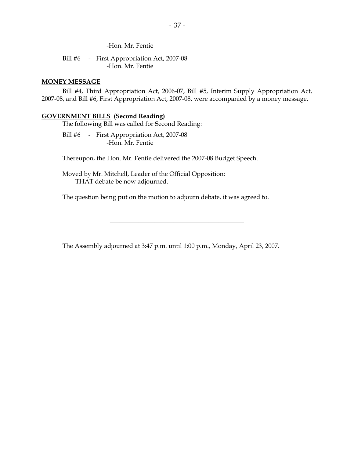-Hon. Mr. Fentie

Bill #6 - First Appropriation Act, 2007-08 -Hon. Mr. Fentie

#### **MONEY MESSAGE**

 Bill #4, Third Appropriation Act, 2006-07, Bill #5, Interim Supply Appropriation Act, 2007-08, and Bill #6, First Appropriation Act, 2007-08, were accompanied by a money message.

#### **GOVERNMENT BILLS (Second Reading)**

The following Bill was called for Second Reading:

Bill #6 - First Appropriation Act, 2007-08 -Hon. Mr. Fentie

Thereupon, the Hon. Mr. Fentie delivered the 2007-08 Budget Speech.

 Moved by Mr. Mitchell, Leader of the Official Opposition: THAT debate be now adjourned.

The question being put on the motion to adjourn debate, it was agreed to.

The Assembly adjourned at 3:47 p.m. until 1:00 p.m., Monday, April 23, 2007.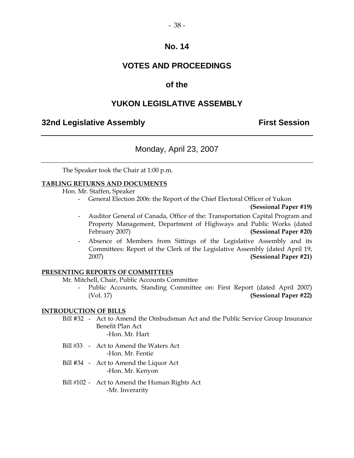## **VOTES AND PROCEEDINGS**

## **of the**

## **YUKON LEGISLATIVE ASSEMBLY**

## **32nd Legislative Assembly The Contract Session**

## Monday, April 23, 2007

The Speaker took the Chair at 1:00 p.m.

### **TABLING RETURNS AND DOCUMENTS**

Hon. Mr. Staffen, Speaker

- General Election 2006: the Report of the Chief Electoral Officer of Yukon

**(Sessional Paper #19)** 

- Auditor General of Canada, Office of the: Transportation Capital Program and Property Management, Department of Highways and Public Works (dated February 2007) **(Sessional Paper #20)**
- Absence of Members from Sittings of the Legislative Assembly and its Committees: Report of the Clerk of the Legislative Assembly (dated April 19, 2007) **(Sessional Paper #21)**

### **PRESENTING REPORTS OF COMMITTEES**

Mr. Mitchell, Chair, Public Accounts Committee

Public Accounts, Standing Committee on: First Report (dated April 2007) (Vol. 17) **(Sessional Paper #22)** 

### **INTRODUCTION OF BILLS**

- Bill #32 Act to Amend the Ombudsman Act and the Public Service Group Insurance Benefit Plan Act -Hon. Mr. Hart
- Bill #33 Act to Amend the Waters Act -Hon. Mr. Fentie
- Bill #34 Act to Amend the Liquor Act -Hon. Mr. Kenyon
- Bill #102 Act to Amend the Human Rights Act -Mr. Inverarity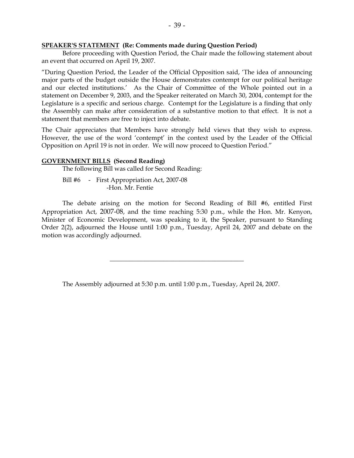#### **SPEAKER'S STATEMENT (Re: Comments made during Question Period)**

 Before proceeding with Question Period, the Chair made the following statement about an event that occurred on April 19, 2007.

"During Question Period, the Leader of the Official Opposition said, 'The idea of announcing major parts of the budget outside the House demonstrates contempt for our political heritage and our elected institutions.' As the Chair of Committee of the Whole pointed out in a statement on December 9, 2003, and the Speaker reiterated on March 30, 2004, contempt for the Legislature is a specific and serious charge. Contempt for the Legislature is a finding that only the Assembly can make after consideration of a substantive motion to that effect. It is not a statement that members are free to inject into debate.

The Chair appreciates that Members have strongly held views that they wish to express. However, the use of the word 'contempt' in the context used by the Leader of the Official Opposition on April 19 is not in order. We will now proceed to Question Period."

#### **GOVERNMENT BILLS (Second Reading)**

The following Bill was called for Second Reading:

Bill #6 - First Appropriation Act, 2007-08 -Hon. Mr. Fentie

 The debate arising on the motion for Second Reading of Bill #6, entitled First Appropriation Act, 2007-08, and the time reaching 5:30 p.m., while the Hon. Mr. Kenyon, Minister of Economic Development, was speaking to it, the Speaker, pursuant to Standing Order 2(2), adjourned the House until 1:00 p.m., Tuesday, April 24, 2007 and debate on the motion was accordingly adjourned.

\_\_\_\_\_\_\_\_\_\_\_\_\_\_\_\_\_\_\_\_\_\_\_\_\_\_\_\_\_\_\_\_\_\_\_\_\_\_\_\_\_\_

The Assembly adjourned at 5:30 p.m. until 1:00 p.m., Tuesday, April 24, 2007.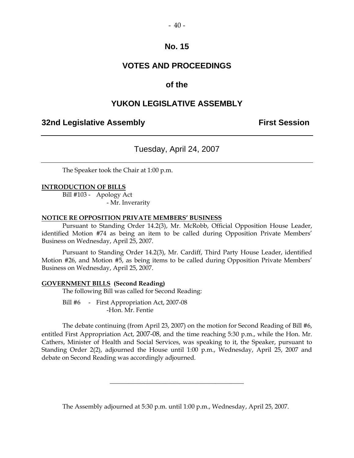## $-40-$

## **No. 15**

## **VOTES AND PROCEEDINGS**

## **of the**

## **YUKON LEGISLATIVE ASSEMBLY**

## **32nd Legislative Assembly The Contract Session**

Tuesday, April 24, 2007

The Speaker took the Chair at 1:00 p.m.

#### **INTRODUCTION OF BILLS**

 Bill #103 - Apology Act - Mr. Inverarity

#### **NOTICE RE OPPOSITION PRIVATE MEMBERS' BUSINESS**

 Pursuant to Standing Order 14.2(3), Mr. McRobb, Official Opposition House Leader, identified Motion #74 as being an item to be called during Opposition Private Members' Business on Wednesday, April 25, 2007.

 Pursuant to Standing Order 14.2(3), Mr. Cardiff, Third Party House Leader, identified Motion #26, and Motion #5, as being items to be called during Opposition Private Members' Business on Wednesday, April 25, 2007.

#### **GOVERNMENT BILLS (Second Reading)**

The following Bill was called for Second Reading:

 Bill #6 - First Appropriation Act, 2007-08 -Hon. Mr. Fentie

 The debate continuing (from April 23, 2007) on the motion for Second Reading of Bill #6, entitled First Appropriation Act, 2007-08, and the time reaching 5:30 p.m., while the Hon. Mr. Cathers, Minister of Health and Social Services, was speaking to it, the Speaker, pursuant to Standing Order 2(2), adjourned the House until 1:00 p.m., Wednesday, April 25, 2007 and debate on Second Reading was accordingly adjourned.

The Assembly adjourned at 5:30 p.m. until 1:00 p.m., Wednesday, April 25, 2007.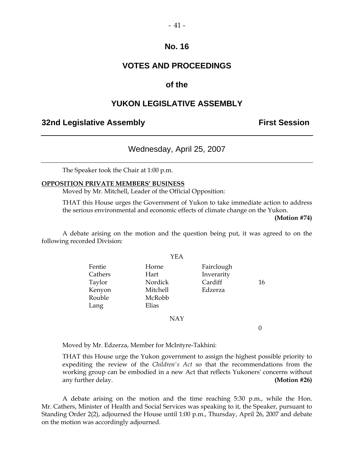$-41-$ 

## **VOTES AND PROCEEDINGS**

## **of the**

## **YUKON LEGISLATIVE ASSEMBLY**

## **32nd Legislative Assembly The Contract Session**

## Wednesday, April 25, 2007

The Speaker took the Chair at 1:00 p.m.

#### **OPPOSITION PRIVATE MEMBERS' BUSINESS**

Moved by Mr. Mitchell, Leader of the Official Opposition:

 THAT this House urges the Government of Yukon to take immediate action to address the serious environmental and economic effects of climate change on the Yukon.

**(Motion #74)** 

 A debate arising on the motion and the question being put, it was agreed to on the following recorded Division:

YEA

|         | .          |            |    |
|---------|------------|------------|----|
| Fentie  | Horne      | Fairclough |    |
| Cathers | Hart       | Inverarity |    |
| Taylor  | Nordick    | Cardiff    | 16 |
| Kenyon  | Mitchell   | Edzerza    |    |
| Rouble  | McRobb     |            |    |
| Lang    | Elias      |            |    |
|         | <b>NAY</b> |            |    |
|         |            |            |    |

Moved by Mr. Edzerza, Member for McIntyre-Takhini:

 THAT this House urge the Yukon government to assign the highest possible priority to expediting the review of the *Children's Act* so that the recommendations from the working group can be embodied in a new Act that reflects Yukoners' concerns without any further delay. **(Motion #26)** 

 A debate arising on the motion and the time reaching 5:30 p.m., while the Hon. Mr. Cathers, Minister of Health and Social Services was speaking to it, the Speaker, pursuant to Standing Order 2(2), adjourned the House until 1:00 p.m., Thursday, April 26, 2007 and debate on the motion was accordingly adjourned.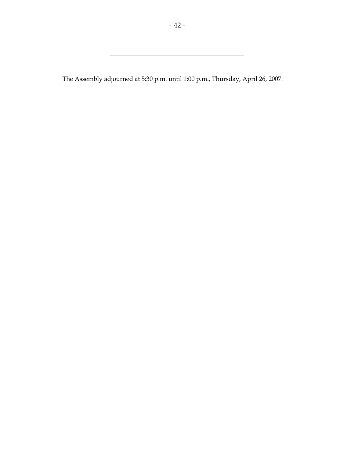$\frac{1}{2}$  , and the set of the set of the set of the set of the set of the set of the set of the set of the set of the set of the set of the set of the set of the set of the set of the set of the set of the set of the set

The Assembly adjourned at 5:30 p.m. until 1:00 p.m., Thursday, April 26, 2007.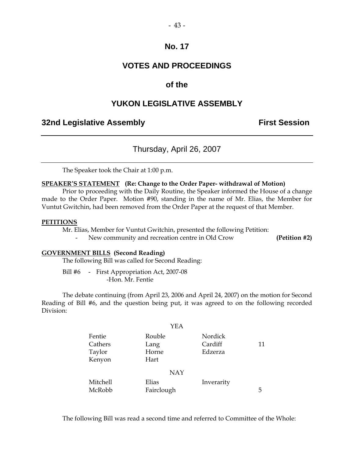## **VOTES AND PROCEEDINGS**

## **of the**

## **YUKON LEGISLATIVE ASSEMBLY**

## **32nd Legislative Assembly The Contract Session**

## Thursday, April 26, 2007

The Speaker took the Chair at 1:00 p.m.

#### **SPEAKER'S STATEMENT (Re: Change to the Order Paper- withdrawal of Motion)**

 Prior to proceeding with the Daily Routine, the Speaker informed the House of a change made to the Order Paper. Motion #90, standing in the name of Mr. Elias, the Member for Vuntut Gwitchin, had been removed from the Order Paper at the request of that Member.

#### **PETITIONS**

Mr. Elias, Member for Vuntut Gwitchin, presented the following Petition:

New community and recreation centre in Old Crow **(Petition #2)** 

#### **GOVERNMENT BILLS (Second Reading)**

The following Bill was called for Second Reading:

Bill #6 - First Appropriation Act, 2007-08 -Hon. Mr. Fentie

 The debate continuing (from April 23, 2006 and April 24, 2007) on the motion for Second Reading of Bill #6, and the question being put, it was agreed to on the following recorded Division:

|                                       | YEA                             |                               |    |
|---------------------------------------|---------------------------------|-------------------------------|----|
| Fentie<br>Cathers<br>Taylor<br>Kenyon | Rouble<br>Lang<br>Horne<br>Hart | Nordick<br>Cardiff<br>Edzerza | 11 |
|                                       | <b>NAY</b>                      |                               |    |
| Mitchell<br>McRobb                    | Elias<br>Fairclough             | Inverarity                    | 5  |

The following Bill was read a second time and referred to Committee of the Whole: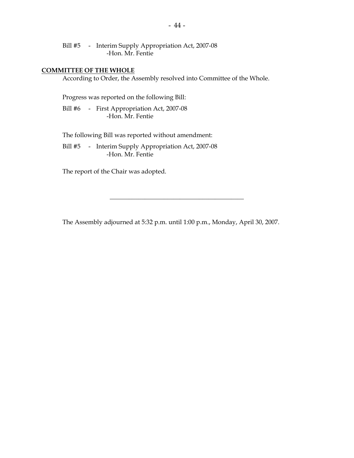Bill #5 - Interim Supply Appropriation Act, 2007-08 -Hon. Mr. Fentie

#### **COMMITTEE OF THE WHOLE**

According to Order, the Assembly resolved into Committee of the Whole.

Progress was reported on the following Bill:

 Bill #6 - First Appropriation Act, 2007-08 -Hon. Mr. Fentie

The following Bill was reported without amendment:

Bill #5 - Interim Supply Appropriation Act, 2007-08 -Hon. Mr. Fentie

The report of the Chair was adopted.

The Assembly adjourned at 5:32 p.m. until 1:00 p.m., Monday, April 30, 2007.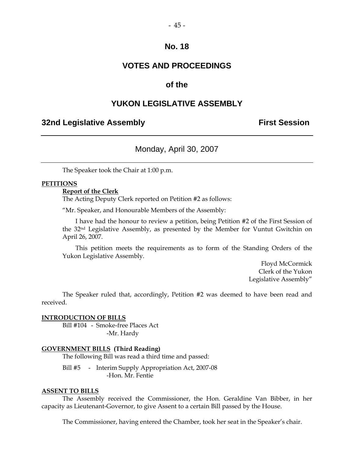## **VOTES AND PROCEEDINGS**

## **of the**

## **YUKON LEGISLATIVE ASSEMBLY**

## **32nd Legislative Assembly The Contract Session**

## Monday, April 30, 2007

The Speaker took the Chair at 1:00 p.m.

#### **PETITIONS**

#### **Report of the Clerk**

The Acting Deputy Clerk reported on Petition #2 as follows:

"Mr. Speaker, and Honourable Members of the Assembly:

 I have had the honour to review a petition, being Petition #2 of the First Session of the 32nd Legislative Assembly, as presented by the Member for Vuntut Gwitchin on April 26, 2007.

 This petition meets the requirements as to form of the Standing Orders of the Yukon Legislative Assembly.

> Floyd McCormick Clerk of the Yukon Legislative Assembly"

 The Speaker ruled that, accordingly, Petition #2 was deemed to have been read and received.

#### **INTRODUCTION OF BILLS**

 Bill #104 - Smoke-free Places Act -Mr. Hardy

#### **GOVERNMENT BILLS (Third Reading)**

The following Bill was read a third time and passed:

Bill #5 - Interim Supply Appropriation Act, 2007-08 -Hon. Mr. Fentie

#### **ASSENT TO BILLS**

 The Assembly received the Commissioner, the Hon. Geraldine Van Bibber, in her capacity as Lieutenant-Governor, to give Assent to a certain Bill passed by the House.

The Commissioner, having entered the Chamber, took her seat in the Speaker's chair.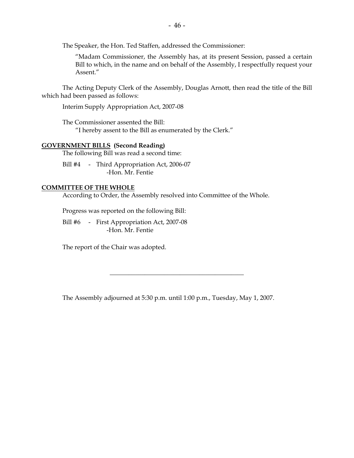The Speaker, the Hon. Ted Staffen, addressed the Commissioner:

"Madam Commissioner, the Assembly has, at its present Session, passed a certain Bill to which, in the name and on behalf of the Assembly, I respectfully request your Assent."

 The Acting Deputy Clerk of the Assembly, Douglas Arnott, then read the title of the Bill which had been passed as follows:

Interim Supply Appropriation Act, 2007-08

 The Commissioner assented the Bill: "I hereby assent to the Bill as enumerated by the Clerk."

### **GOVERNMENT BILLS (Second Reading)**

The following Bill was read a second time:

Bill #4 - Third Appropriation Act, 2006-07 -Hon. Mr. Fentie

#### **COMMITTEE OF THE WHOLE**

According to Order, the Assembly resolved into Committee of the Whole.

Progress was reported on the following Bill:

Bill #6 - First Appropriation Act, 2007-08 -Hon. Mr. Fentie

The report of the Chair was adopted.

The Assembly adjourned at 5:30 p.m. until 1:00 p.m., Tuesday, May 1, 2007.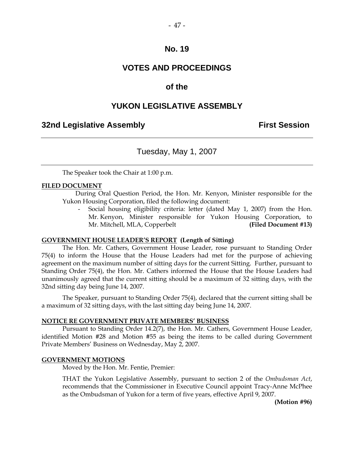## **VOTES AND PROCEEDINGS**

## **of the**

## **YUKON LEGISLATIVE ASSEMBLY**

## **32nd Legislative Assembly The Contract Session**

## Tuesday, May 1, 2007

The Speaker took the Chair at 1:00 p.m.

#### **FILED DOCUMENT**

 During Oral Question Period, the Hon. Mr. Kenyon, Minister responsible for the Yukon Housing Corporation, filed the following document:

 - Social housing eligibility criteria: letter (dated May 1, 2007) from the Hon. Mr. Kenyon, Minister responsible for Yukon Housing Corporation, to Mr. Mitchell, MLA, Copperbelt **(Filed Document #13)** 

#### **GOVERNMENT HOUSE LEADER'S REPORT (Length of Sitting)**

 The Hon. Mr. Cathers, Government House Leader, rose pursuant to Standing Order 75(4) to inform the House that the House Leaders had met for the purpose of achieving agreement on the maximum number of sitting days for the current Sitting. Further, pursuant to Standing Order 75(4), the Hon. Mr. Cathers informed the House that the House Leaders had unanimously agreed that the current sitting should be a maximum of 32 sitting days, with the 32nd sitting day being June 14, 2007.

 The Speaker, pursuant to Standing Order 75(4), declared that the current sitting shall be a maximum of 32 sitting days, with the last sitting day being June 14, 2007.

#### **NOTICE RE GOVERNMENT PRIVATE MEMBERS' BUSINESS**

 Pursuant to Standing Order 14.2(7), the Hon. Mr. Cathers, Government House Leader, identified Motion #28 and Motion #55 as being the items to be called during Government Private Members' Business on Wednesday, May 2, 2007.

#### **GOVERNMENT MOTIONS**

Moved by the Hon. Mr. Fentie, Premier:

 THAT the Yukon Legislative Assembly, pursuant to section 2 of the *Ombudsman Act*, recommends that the Commissioner in Executive Council appoint Tracy-Anne McPhee as the Ombudsman of Yukon for a term of five years, effective April 9, 2007.

**(Motion #96)**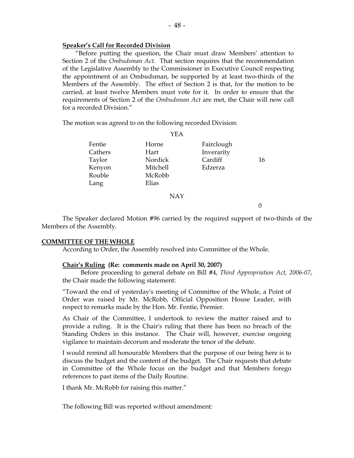#### **Speaker's Call for Recorded Division**

"Before putting the question, the Chair must draw Members' attention to Section 2 of the *Ombudsman Act*. That section requires that the recommendation of the Legislative Assembly to the Commissioner in Executive Council respecting the appointment of an Ombudsman, be supported by at least two-thirds of the Members of the Assembly. The effect of Section 2 is that, for the motion to be carried, at least twelve Members must vote for it. In order to ensure that the requirements of Section 2 of the *Ombudsman Act* are met, the Chair will now call for a recorded Division."

The motion was agreed to on the following recorded Division:

|         | பட்ட     |            |    |
|---------|----------|------------|----|
| Fentie  | Horne    | Fairclough |    |
| Cathers | Hart     | Inverarity |    |
| Taylor  | Nordick  | Cardiff    | 16 |
| Kenyon  | Mitchell | Edzerza    |    |
| Rouble  | McRobb   |            |    |
| Lang    | Elias    |            |    |
|         |          |            |    |

 $VFA$ 

NAY

 $\theta$ 

 The Speaker declared Motion #96 carried by the required support of two-thirds of the Members of the Assembly.

#### **COMMITTEE OF THE WHOLE**

According to Order, the Assembly resolved into Committee of the Whole.

#### **Chair's Ruling (Re: comments made on April 30, 2007)**

 Before proceeding to general debate on Bill #4, *Third Appropriation Act, 2006-07*, the Chair made the following statement:

"Toward the end of yesterday's meeting of Committee of the Whole, a Point of Order was raised by Mr. McRobb, Official Opposition House Leader, with respect to remarks made by the Hon. Mr. Fentie, Premier.

As Chair of the Committee, I undertook to review the matter raised and to provide a ruling. It is the Chair's ruling that there has been no breach of the Standing Orders in this instance. The Chair will, however, exercise ongoing vigilance to maintain decorum and moderate the tenor of the debate.

I would remind all honourable Members that the purpose of our being here is to discuss the budget and the content of the budget. The Chair requests that debate in Committee of the Whole focus on the budget and that Members forego references to past items of the Daily Routine.

I thank Mr. McRobb for raising this matter."

The following Bill was reported without amendment: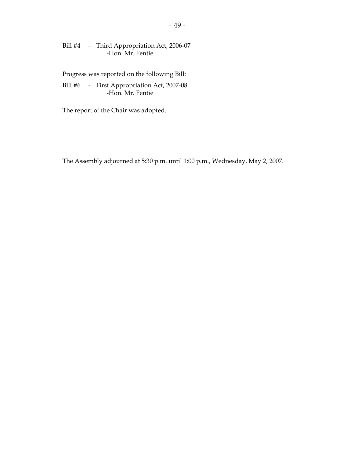Bill #4 - Third Appropriation Act, 2006-07 -Hon. Mr. Fentie

Progress was reported on the following Bill:

 Bill #6 - First Appropriation Act, 2007-08 -Hon. Mr. Fentie

The report of the Chair was adopted.

The Assembly adjourned at 5:30 p.m. until 1:00 p.m., Wednesday, May 2, 2007.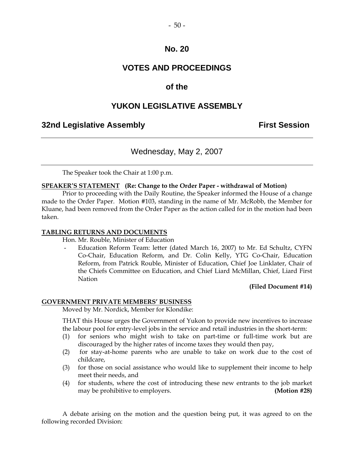## **VOTES AND PROCEEDINGS**

## **of the**

## **YUKON LEGISLATIVE ASSEMBLY**

## **32nd Legislative Assembly Constructed Session**

## Wednesday, May 2, 2007

The Speaker took the Chair at 1:00 p.m.

#### **SPEAKER'S STATEMENT (Re: Change to the Order Paper - withdrawal of Motion)**

 Prior to proceeding with the Daily Routine, the Speaker informed the House of a change made to the Order Paper. Motion #103, standing in the name of Mr. McRobb, the Member for Kluane, had been removed from the Order Paper as the action called for in the motion had been taken.

#### **TABLING RETURNS AND DOCUMENTS**

Hon. Mr. Rouble, Minister of Education

Education Reform Team: letter (dated March 16, 2007) to Mr. Ed Schultz, CYFN Co-Chair, Education Reform, and Dr. Colin Kelly, YTG Co-Chair, Education Reform, from Patrick Rouble, Minister of Education, Chief Joe Linklater, Chair of the Chiefs Committee on Education, and Chief Liard McMillan, Chief, Liard First Nation

#### **(Filed Document #14)**

#### **GOVERNMENT PRIVATE MEMBERS' BUSINESS**

Moved by Mr. Nordick, Member for Klondike:

 THAT this House urges the Government of Yukon to provide new incentives to increase the labour pool for entry-level jobs in the service and retail industries in the short-term:

- (1) for seniors who might wish to take on part-time or full-time work but are discouraged by the higher rates of income taxes they would then pay,
- (2) for stay-at-home parents who are unable to take on work due to the cost of childcare,
- (3) for those on social assistance who would like to supplement their income to help meet their needs, and
- (4) for students, where the cost of introducing these new entrants to the job market may be prohibitive to employers. **(Motion #28)**

 A debate arising on the motion and the question being put, it was agreed to on the following recorded Division: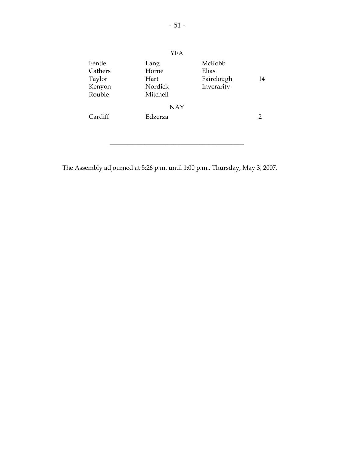|            | YEA      |            |    |
|------------|----------|------------|----|
| Fentie     | Lang     | McRobb     |    |
| Cathers    | Horne    | Elias      |    |
| Taylor     | Hart     | Fairclough | 14 |
| Kenyon     | Nordick  | Inverarity |    |
| Rouble     | Mitchell |            |    |
| <b>NAY</b> |          |            |    |
| Cardiff    | Edzerza  |            | 2  |
|            |          |            |    |
|            |          |            |    |

\_\_\_\_\_\_\_\_\_\_\_\_\_\_\_\_\_\_\_\_\_\_\_\_\_\_\_\_\_\_\_\_\_\_\_\_\_\_\_\_\_\_

The Assembly adjourned at 5:26 p.m. until 1:00 p.m., Thursday, May 3, 2007.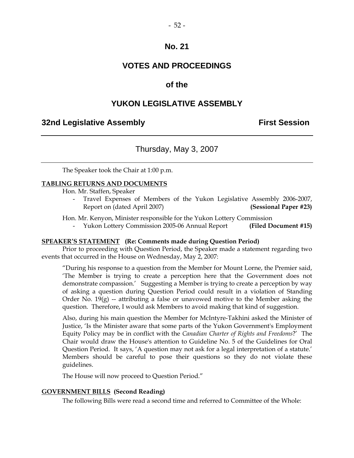## **VOTES AND PROCEEDINGS**

## **of the**

## **YUKON LEGISLATIVE ASSEMBLY**

## **32nd Legislative Assembly First Session**

## Thursday, May 3, 2007

The Speaker took the Chair at 1:00 p.m.

#### **TABLING RETURNS AND DOCUMENTS**

Hon. Mr. Staffen, Speaker

Travel Expenses of Members of the Yukon Legislative Assembly 2006-2007, Report on (dated April 2007) **(Sessional Paper #23)** 

Hon. Mr. Kenyon, Minister responsible for the Yukon Lottery Commission

- Yukon Lottery Commission 2005-06 Annual Report **(Filed Document #15)** 

#### **SPEAKER'S STATEMENT (Re: Comments made during Question Period)**

 Prior to proceeding with Question Period, the Speaker made a statement regarding two events that occurred in the House on Wednesday, May 2, 2007:

"During his response to a question from the Member for Mount Lorne, the Premier said, 'The Member is trying to create a perception here that the Government does not demonstrate compassion.' Suggesting a Member is trying to create a perception by way of asking a question during Question Period could result in a violation of Standing Order No.  $19(g)$  -- attributing a false or unavowed motive to the Member asking the question. Therefore, I would ask Members to avoid making that kind of suggestion.

Also, during his main question the Member for McIntyre-Takhini asked the Minister of Justice, 'Is the Minister aware that some parts of the Yukon Government's Employment Equity Policy may be in conflict with the *Canadian Charter of Rights and Freedoms*?' The Chair would draw the House's attention to Guideline No. 5 of the Guidelines for Oral Question Period. It says, 'A question may not ask for a legal interpretation of a statute.' Members should be careful to pose their questions so they do not violate these guidelines.

The House will now proceed to Question Period."

#### **GOVERNMENT BILLS (Second Reading)**

The following Bills were read a second time and referred to Committee of the Whole: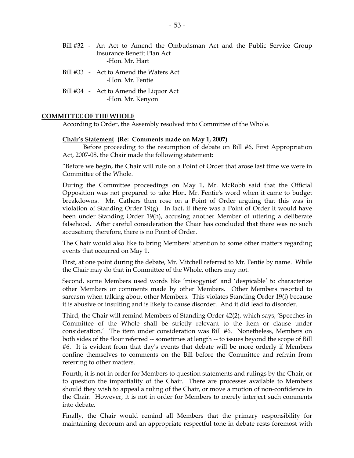- Bill #32 An Act to Amend the Ombudsman Act and the Public Service Group Insurance Benefit Plan Act -Hon. Mr. Hart
- Bill #33 Act to Amend the Waters Act -Hon. Mr. Fentie
- Bill #34 Act to Amend the Liquor Act -Hon. Mr. Kenyon

#### **COMMITTEE OF THE WHOLE**

According to Order, the Assembly resolved into Committee of the Whole.

#### **Chair's Statement (Re: Comments made on May 1, 2007)**

 Before proceeding to the resumption of debate on Bill #6, First Appropriation Act, 2007-08, the Chair made the following statement:

"Before we begin, the Chair will rule on a Point of Order that arose last time we were in Committee of the Whole.

During the Committee proceedings on May 1, Mr. McRobb said that the Official Opposition was not prepared to take Hon. Mr. Fentie's word when it came to budget breakdowns. Mr. Cathers then rose on a Point of Order arguing that this was in violation of Standing Order  $19(g)$ . In fact, if there was a Point of Order it would have been under Standing Order 19(h), accusing another Member of uttering a deliberate falsehood. After careful consideration the Chair has concluded that there was no such accusation; therefore, there is no Point of Order.

The Chair would also like to bring Members' attention to some other matters regarding events that occurred on May 1.

First, at one point during the debate, Mr. Mitchell referred to Mr. Fentie by name. While the Chair may do that in Committee of the Whole, others may not.

Second, some Members used words like 'misogynist' and 'despicable' to characterize other Members or comments made by other Members. Other Members resorted to sarcasm when talking about other Members. This violates Standing Order 19(i) because it is abusive or insulting and is likely to cause disorder. And it did lead to disorder.

Third, the Chair will remind Members of Standing Order 42(2), which says, 'Speeches in Committee of the Whole shall be strictly relevant to the item or clause under consideration.' The item under consideration was Bill #6. Nonetheless, Members on both sides of the floor referred -- sometimes at length -- to issues beyond the scope of Bill #6. It is evident from that day's events that debate will be more orderly if Members confine themselves to comments on the Bill before the Committee and refrain from referring to other matters.

Fourth, it is not in order for Members to question statements and rulings by the Chair, or to question the impartiality of the Chair. There are processes available to Members should they wish to appeal a ruling of the Chair, or move a motion of non-confidence in the Chair. However, it is not in order for Members to merely interject such comments into debate.

Finally, the Chair would remind all Members that the primary responsibility for maintaining decorum and an appropriate respectful tone in debate rests foremost with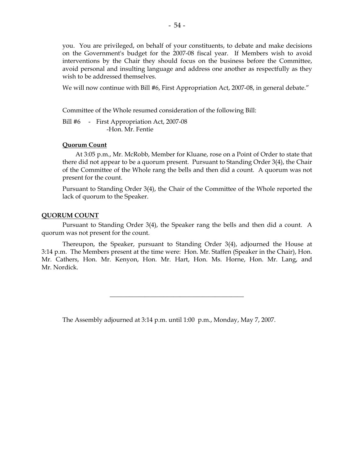you. You are privileged, on behalf of your constituents, to debate and make decisions on the Government's budget for the 2007-08 fiscal year. If Members wish to avoid interventions by the Chair they should focus on the business before the Committee, avoid personal and insulting language and address one another as respectfully as they wish to be addressed themselves.

We will now continue with Bill #6, First Appropriation Act, 2007-08, in general debate."

Committee of the Whole resumed consideration of the following Bill:

Bill #6 - First Appropriation Act, 2007-08 -Hon. Mr. Fentie

#### **Quorum Count**

 At 3:05 p.m., Mr. McRobb, Member for Kluane, rose on a Point of Order to state that there did not appear to be a quorum present. Pursuant to Standing Order 3(4), the Chair of the Committee of the Whole rang the bells and then did a count. A quorum was not present for the count.

Pursuant to Standing Order 3(4), the Chair of the Committee of the Whole reported the lack of quorum to the Speaker.

#### **QUORUM COUNT**

 Pursuant to Standing Order 3(4), the Speaker rang the bells and then did a count. A quorum was not present for the count.

 Thereupon, the Speaker, pursuant to Standing Order 3(4), adjourned the House at 3:14 p.m. The Members present at the time were: Hon. Mr. Staffen (Speaker in the Chair), Hon. Mr. Cathers, Hon. Mr. Kenyon, Hon. Mr. Hart, Hon. Ms. Horne, Hon. Mr. Lang, and Mr. Nordick.

\_\_\_\_\_\_\_\_\_\_\_\_\_\_\_\_\_\_\_\_\_\_\_\_\_\_\_\_\_\_\_\_\_\_\_\_\_\_\_\_\_\_

The Assembly adjourned at 3:14 p.m. until 1:00 p.m., Monday, May 7, 2007.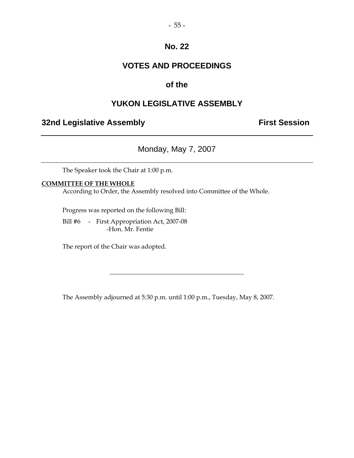## **VOTES AND PROCEEDINGS**

## **of the**

## **YUKON LEGISLATIVE ASSEMBLY**

## **32nd Legislative Assembly Constructed Session**

Monday, May 7, 2007

The Speaker took the Chair at 1:00 p.m.

### **COMMITTEE OF THE WHOLE**

According to Order, the Assembly resolved into Committee of the Whole.

Progress was reported on the following Bill:

 Bill #6 - First Appropriation Act, 2007-08 -Hon. Mr. Fentie

The report of the Chair was adopted.

The Assembly adjourned at 5:30 p.m. until 1:00 p.m., Tuesday, May 8, 2007.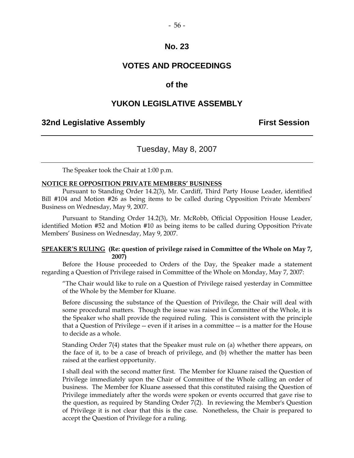## **VOTES AND PROCEEDINGS**

## **of the**

## **YUKON LEGISLATIVE ASSEMBLY**

## **32nd Legislative Assembly First Session**

## Tuesday, May 8, 2007

The Speaker took the Chair at 1:00 p.m.

#### **NOTICE RE OPPOSITION PRIVATE MEMBERS' BUSINESS**

 Pursuant to Standing Order 14.2(3), Mr. Cardiff, Third Party House Leader, identified Bill #104 and Motion #26 as being items to be called during Opposition Private Members' Business on Wednesday, May 9, 2007.

 Pursuant to Standing Order 14.2(3), Mr. McRobb, Official Opposition House Leader, identified Motion #52 and Motion #10 as being items to be called during Opposition Private Members' Business on Wednesday, May 9, 2007.

#### **SPEAKER'S RULING (Re: question of privilege raised in Committee of the Whole on May 7, 2007)**

 Before the House proceeded to Orders of the Day, the Speaker made a statement regarding a Question of Privilege raised in Committee of the Whole on Monday, May 7, 2007:

"The Chair would like to rule on a Question of Privilege raised yesterday in Committee of the Whole by the Member for Kluane.

Before discussing the substance of the Question of Privilege, the Chair will deal with some procedural matters. Though the issue was raised in Committee of the Whole, it is the Speaker who shall provide the required ruling. This is consistent with the principle that a Question of Privilege -- even if it arises in a committee -- is a matter for the House to decide as a whole.

Standing Order 7(4) states that the Speaker must rule on (a) whether there appears, on the face of it, to be a case of breach of privilege, and (b) whether the matter has been raised at the earliest opportunity.

I shall deal with the second matter first. The Member for Kluane raised the Question of Privilege immediately upon the Chair of Committee of the Whole calling an order of business. The Member for Kluane assessed that this constituted raising the Question of Privilege immediately after the words were spoken or events occurred that gave rise to the question, as required by Standing Order 7(2). In reviewing the Member's Question of Privilege it is not clear that this is the case. Nonetheless, the Chair is prepared to accept the Question of Privilege for a ruling.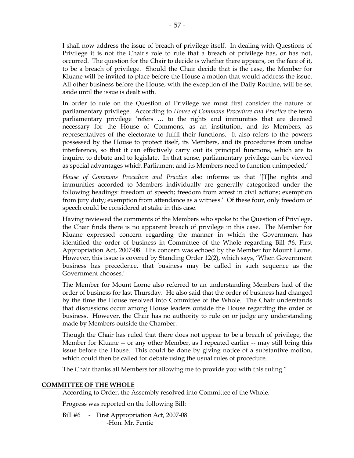I shall now address the issue of breach of privilege itself. In dealing with Questions of Privilege it is not the Chair's role to rule that a breach of privilege has, or has not, occurred. The question for the Chair to decide is whether there appears, on the face of it, to be a breach of privilege. Should the Chair decide that is the case, the Member for Kluane will be invited to place before the House a motion that would address the issue. All other business before the House, with the exception of the Daily Routine, will be set aside until the issue is dealt with.

In order to rule on the Question of Privilege we must first consider the nature of parliamentary privilege. According to *House of Commons Procedure and Practice* the term parliamentary privilege 'refers … to the rights and immunities that are deemed necessary for the House of Commons, as an institution, and its Members, as representatives of the electorate to fulfil their functions. It also refers to the powers possessed by the House to protect itself, its Members, and its procedures from undue interference, so that it can effectively carry out its principal functions, which are to inquire, to debate and to legislate. In that sense, parliamentary privilege can be viewed as special advantages which Parliament and its Members need to function unimpeded.'

*House of Commons Procedure and Practice* also informs us that '[T]he rights and immunities accorded to Members individually are generally categorized under the following headings: freedom of speech; freedom from arrest in civil actions; exemption from jury duty; exemption from attendance as a witness.' Of these four, only freedom of speech could be considered at stake in this case.

Having reviewed the comments of the Members who spoke to the Question of Privilege, the Chair finds there is no apparent breach of privilege in this case. The Member for Kluane expressed concern regarding the manner in which the Government has identified the order of business in Committee of the Whole regarding Bill #6, First Appropriation Act, 2007-08. His concern was echoed by the Member for Mount Lorne. However, this issue is covered by Standing Order 12(2), which says, 'When Government business has precedence, that business may be called in such sequence as the Government chooses.'

The Member for Mount Lorne also referred to an understanding Members had of the order of business for last Thursday. He also said that the order of business had changed by the time the House resolved into Committee of the Whole. The Chair understands that discussions occur among House leaders outside the House regarding the order of business. However, the Chair has no authority to rule on or judge any understanding made by Members outside the Chamber.

Though the Chair has ruled that there does not appear to be a breach of privilege, the Member for Kluane -- or any other Member, as I repeated earlier -- may still bring this issue before the House. This could be done by giving notice of a substantive motion, which could then be called for debate using the usual rules of procedure.

The Chair thanks all Members for allowing me to provide you with this ruling."

### **COMMITTEE OF THE WHOLE**

According to Order, the Assembly resolved into Committee of the Whole.

Progress was reported on the following Bill:

Bill #6 - First Appropriation Act, 2007-08 -Hon. Mr. Fentie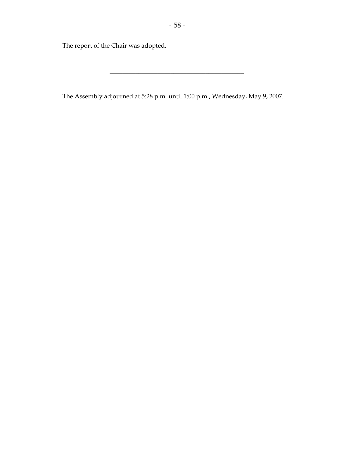\_\_\_\_\_\_\_\_\_\_\_\_\_\_\_\_\_\_\_\_\_\_\_\_\_\_\_\_\_\_\_\_\_\_\_\_\_\_\_\_\_\_

The report of the Chair was adopted.

The Assembly adjourned at 5:28 p.m. until 1:00 p.m., Wednesday, May 9, 2007.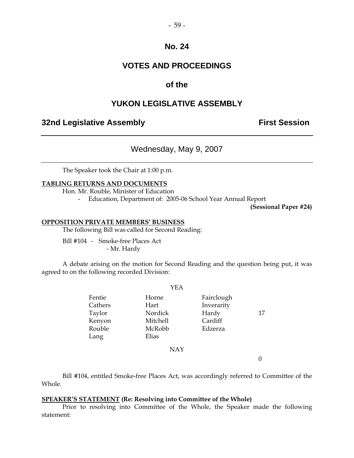## **VOTES AND PROCEEDINGS**

## **of the**

## **YUKON LEGISLATIVE ASSEMBLY**

## **32nd Legislative Assembly First Session**

## Wednesday, May 9, 2007

The Speaker took the Chair at 1:00 p.m.

#### **TABLING RETURNS AND DOCUMENTS**

Hon. Mr. Rouble, Minister of Education

- Education, Department of: 2005-06 School Year Annual Report

**(Sessional Paper #24)** 

#### **OPPOSITION PRIVATE MEMBERS' BUSINESS**

The following Bill was called for Second Reading:

 Bill #104 - Smoke-free Places Act - Mr. Hardy

 A debate arising on the motion for Second Reading and the question being put, it was agreed to on the following recorded Division:

 $Y<sub>E</sub>$ 

|         | Y EA            |            |    |
|---------|-----------------|------------|----|
| Fentie  | Horne           | Fairclough |    |
| Cathers | Hart            | Inverarity |    |
| Taylor  | Nordick         | Hardy      | 17 |
| Kenyon  | <b>Mitchell</b> | Cardiff    |    |
| Rouble  | McRobb          | Edzerza    |    |
| Lang    | Elias           |            |    |
|         | NAY             |            |    |

0

 Bill #104, entitled Smoke-free Places Act, was accordingly referred to Committee of the Whole.

#### **SPEAKER'S STATEMENT (Re: Resolving into Committee of the Whole)**

 Prior to resolving into Committee of the Whole, the Speaker made the following statement: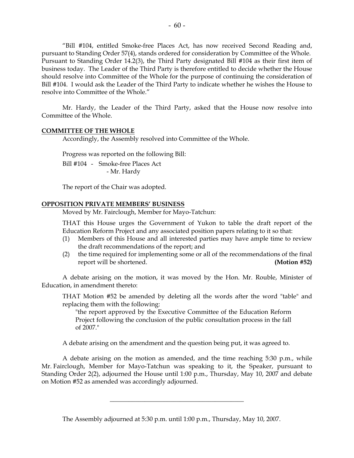"Bill #104, entitled Smoke-free Places Act, has now received Second Reading and, pursuant to Standing Order 57(4), stands ordered for consideration by Committee of the Whole. Pursuant to Standing Order 14.2(3), the Third Party designated Bill #104 as their first item of business today. The Leader of the Third Party is therefore entitled to decide whether the House should resolve into Committee of the Whole for the purpose of continuing the consideration of Bill #104. I would ask the Leader of the Third Party to indicate whether he wishes the House to resolve into Committee of the Whole."

 Mr. Hardy, the Leader of the Third Party, asked that the House now resolve into Committee of the Whole.

#### **COMMITTEE OF THE WHOLE**

Accordingly, the Assembly resolved into Committee of the Whole.

Progress was reported on the following Bill:

 Bill #104 - Smoke-free Places Act - Mr. Hardy

The report of the Chair was adopted.

#### **OPPOSITION PRIVATE MEMBERS' BUSINESS**

Moved by Mr. Fairclough, Member for Mayo-Tatchun:

THAT this House urges the Government of Yukon to table the draft report of the Education Reform Project and any associated position papers relating to it so that:

- (1) Members of this House and all interested parties may have ample time to review the draft recommendations of the report; and
- (2) the time required for implementing some or all of the recommendations of the final report will be shortened. **(Motion #52)**

 A debate arising on the motion, it was moved by the Hon. Mr. Rouble, Minister of Education, in amendment thereto:

THAT Motion #52 be amended by deleting all the words after the word "table" and replacing them with the following:

 "the report approved by the Executive Committee of the Education Reform Project following the conclusion of the public consultation process in the fall of 2007."

A debate arising on the amendment and the question being put, it was agreed to.

 A debate arising on the motion as amended, and the time reaching 5:30 p.m., while Mr. Fairclough, Member for Mayo-Tatchun was speaking to it, the Speaker, pursuant to Standing Order 2(2), adjourned the House until 1:00 p.m., Thursday, May 10, 2007 and debate on Motion #52 as amended was accordingly adjourned.

\_\_\_\_\_\_\_\_\_\_\_\_\_\_\_\_\_\_\_\_\_\_\_\_\_\_\_\_\_\_\_\_\_\_\_\_\_\_\_\_\_\_

The Assembly adjourned at 5:30 p.m. until 1:00 p.m., Thursday, May 10, 2007.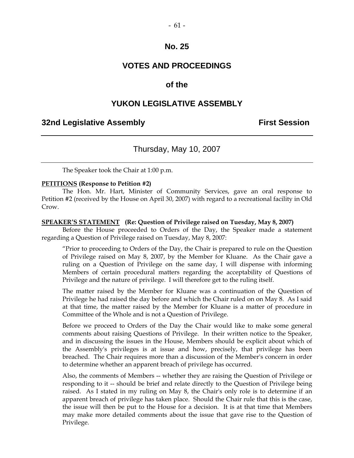## **VOTES AND PROCEEDINGS**

## **of the**

## **YUKON LEGISLATIVE ASSEMBLY**

### **32nd Legislative Assembly First Session**

## Thursday, May 10, 2007

The Speaker took the Chair at 1:00 p.m.

#### **PETITIONS (Response to Petition #2)**

 The Hon. Mr. Hart, Minister of Community Services, gave an oral response to Petition #2 (received by the House on April 30, 2007) with regard to a recreational facility in Old Crow.

#### **SPEAKER'S STATEMENT (Re: Question of Privilege raised on Tuesday, May 8, 2007)**

 Before the House proceeded to Orders of the Day, the Speaker made a statement regarding a Question of Privilege raised on Tuesday, May 8, 2007:

"Prior to proceeding to Orders of the Day, the Chair is prepared to rule on the Question of Privilege raised on May 8, 2007, by the Member for Kluane. As the Chair gave a ruling on a Question of Privilege on the same day, I will dispense with informing Members of certain procedural matters regarding the acceptability of Questions of Privilege and the nature of privilege. I will therefore get to the ruling itself.

The matter raised by the Member for Kluane was a continuation of the Question of Privilege he had raised the day before and which the Chair ruled on on May 8. As I said at that time, the matter raised by the Member for Kluane is a matter of procedure in Committee of the Whole and is not a Question of Privilege.

Before we proceed to Orders of the Day the Chair would like to make some general comments about raising Questions of Privilege. In their written notice to the Speaker, and in discussing the issues in the House, Members should be explicit about which of the Assembly's privileges is at issue and how, precisely, that privilege has been breached. The Chair requires more than a discussion of the Member's concern in order to determine whether an apparent breach of privilege has occurred.

Also, the comments of Members -- whether they are raising the Question of Privilege or responding to it -- should be brief and relate directly to the Question of Privilege being raised. As I stated in my ruling on May 8, the Chair's only role is to determine if an apparent breach of privilege has taken place. Should the Chair rule that this is the case, the issue will then be put to the House for a decision. It is at that time that Members may make more detailed comments about the issue that gave rise to the Question of Privilege.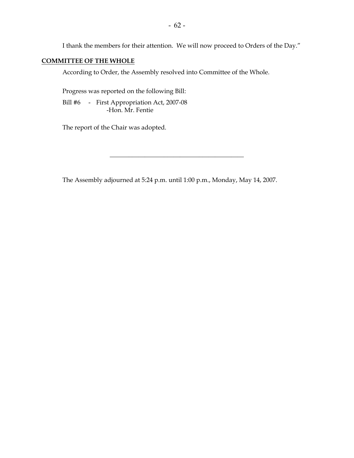I thank the members for their attention. We will now proceed to Orders of the Day."

### **COMMITTEE OF THE WHOLE**

According to Order, the Assembly resolved into Committee of the Whole.

Progress was reported on the following Bill:

 Bill #6 - First Appropriation Act, 2007-08 -Hon. Mr. Fentie

The report of the Chair was adopted.

The Assembly adjourned at 5:24 p.m. until 1:00 p.m., Monday, May 14, 2007.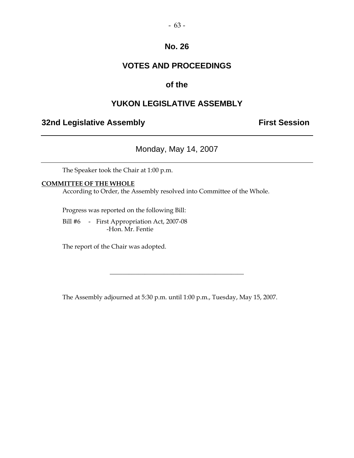## **VOTES AND PROCEEDINGS**

## **of the**

## **YUKON LEGISLATIVE ASSEMBLY**

## **32nd Legislative Assembly Constructed Session**

Monday, May 14, 2007

The Speaker took the Chair at 1:00 p.m.

#### **COMMITTEE OF THE WHOLE**

According to Order, the Assembly resolved into Committee of the Whole.

Progress was reported on the following Bill:

 Bill #6 - First Appropriation Act, 2007-08 -Hon. Mr. Fentie

The report of the Chair was adopted.

The Assembly adjourned at 5:30 p.m. until 1:00 p.m., Tuesday, May 15, 2007.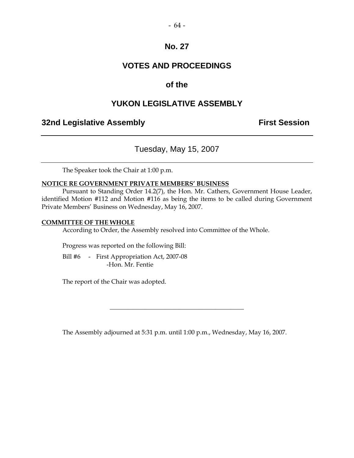## **VOTES AND PROCEEDINGS**

## **of the**

## **YUKON LEGISLATIVE ASSEMBLY**

## **32nd Legislative Assembly The Contract Session**

Tuesday, May 15, 2007

The Speaker took the Chair at 1:00 p.m.

#### **NOTICE RE GOVERNMENT PRIVATE MEMBERS' BUSINESS**

 Pursuant to Standing Order 14.2(7), the Hon. Mr. Cathers, Government House Leader, identified Motion #112 and Motion #116 as being the items to be called during Government Private Members' Business on Wednesday, May 16, 2007.

#### **COMMITTEE OF THE WHOLE**

According to Order, the Assembly resolved into Committee of the Whole.

Progress was reported on the following Bill:

Bill #6 - First Appropriation Act, 2007-08 -Hon. Mr. Fentie

The report of the Chair was adopted.

The Assembly adjourned at 5:31 p.m. until 1:00 p.m., Wednesday, May 16, 2007.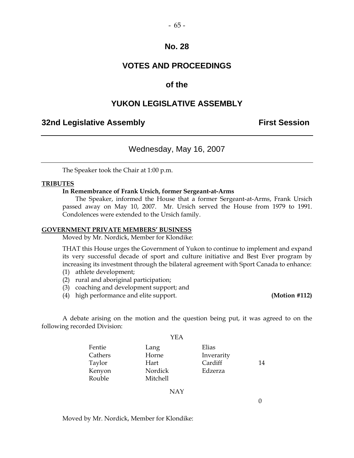$-65-$ 

## **VOTES AND PROCEEDINGS**

## **of the**

## **YUKON LEGISLATIVE ASSEMBLY**

## **32nd Legislative Assembly The Contract Session**

## Wednesday, May 16, 2007

The Speaker took the Chair at 1:00 p.m.

#### **TRIBUTES**

#### **In Remembrance of Frank Ursich, former Sergeant-at-Arms**

 The Speaker, informed the House that a former Sergeant-at-Arms, Frank Ursich passed away on May 10, 2007. Mr. Ursich served the House from 1979 to 1991. Condolences were extended to the Ursich family.

#### **GOVERNMENT PRIVATE MEMBERS' BUSINESS**

Moved by Mr. Nordick, Member for Klondike:

THAT this House urges the Government of Yukon to continue to implement and expand its very successful decade of sport and culture initiative and Best Ever program by increasing its investment through the bilateral agreement with Sport Canada to enhance:

- (1) athlete development;
- (2) rural and aboriginal participation;
- (3) coaching and development support; and
- (4) high performance and elite support. **(Motion #112)**

 A debate arising on the motion and the question being put, it was agreed to on the following recorded Division:

YEA

|         | பட்ட     |            |    |
|---------|----------|------------|----|
| Fentie  | Lang     | Elias      |    |
| Cathers | Horne    | Inverarity |    |
| Taylor  | Hart     | Cardiff    | 14 |
| Kenyon  | Nordick  | Edzerza    |    |
| Rouble  | Mitchell |            |    |
|         |          |            |    |

NAY

Moved by Mr. Nordick, Member for Klondike: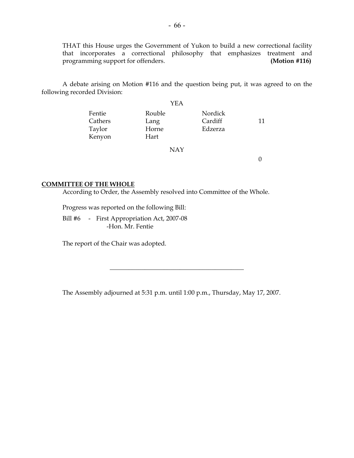THAT this House urges the Government of Yukon to build a new correctional facility that incorporates a correctional philosophy that emphasizes treatment and programming support for offenders. **(Motion #116)**

 A debate arising on Motion #116 and the question being put, it was agreed to on the following recorded Division:

|                                       | YEA                             |                               |    |
|---------------------------------------|---------------------------------|-------------------------------|----|
| Fentie<br>Cathers<br>Taylor<br>Kenyon | Rouble<br>Lang<br>Horne<br>Hart | Nordick<br>Cardiff<br>Edzerza | 11 |
|                                       | <b>NAY</b>                      |                               |    |

0

#### **COMMITTEE OF THE WHOLE**

According to Order, the Assembly resolved into Committee of the Whole.

Progress was reported on the following Bill:

 Bill #6 - First Appropriation Act, 2007-08 -Hon. Mr. Fentie

The report of the Chair was adopted.

The Assembly adjourned at 5:31 p.m. until 1:00 p.m., Thursday, May 17, 2007.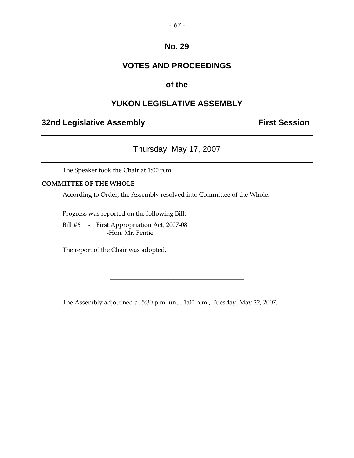## **VOTES AND PROCEEDINGS**

## **of the**

## **YUKON LEGISLATIVE ASSEMBLY**

## **32nd Legislative Assembly Constructed Session**

## Thursday, May 17, 2007

The Speaker took the Chair at 1:00 p.m.

## **COMMITTEE OF THE WHOLE**

According to Order, the Assembly resolved into Committee of the Whole.

Progress was reported on the following Bill:

 Bill #6 - First Appropriation Act, 2007-08 -Hon. Mr. Fentie

The report of the Chair was adopted.

The Assembly adjourned at 5:30 p.m. until 1:00 p.m., Tuesday, May 22, 2007.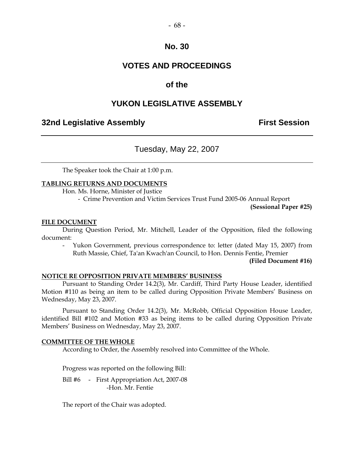## **VOTES AND PROCEEDINGS**

## **of the**

## **YUKON LEGISLATIVE ASSEMBLY**

## **32nd Legislative Assembly The Contract Session**

## Tuesday, May 22, 2007

The Speaker took the Chair at 1:00 p.m.

#### **TABLING RETURNS AND DOCUMENTS**

Hon. Ms. Horne, Minister of Justice

- Crime Prevention and Victim Services Trust Fund 2005-06 Annual Report

**(Sessional Paper #25)** 

#### **FILE DOCUMENT**

 During Question Period, Mr. Mitchell, Leader of the Opposition, filed the following document:

 - Yukon Government, previous correspondence to: letter (dated May 15, 2007) from Ruth Massie, Chief, Ta'an Kwach'an Council, to Hon. Dennis Fentie, Premier

**(Filed Document #16)** 

#### **NOTICE RE OPPOSITION PRIVATE MEMBERS' BUSINESS**

 Pursuant to Standing Order 14.2(3), Mr. Cardiff, Third Party House Leader, identified Motion #110 as being an item to be called during Opposition Private Members' Business on Wednesday, May 23, 2007.

 Pursuant to Standing Order 14.2(3), Mr. McRobb, Official Opposition House Leader, identified Bill #102 and Motion #33 as being items to be called during Opposition Private Members' Business on Wednesday, May 23, 2007.

#### **COMMITTEE OF THE WHOLE**

According to Order, the Assembly resolved into Committee of the Whole.

Progress was reported on the following Bill:

Bill #6 - First Appropriation Act, 2007-08 -Hon. Mr. Fentie

The report of the Chair was adopted.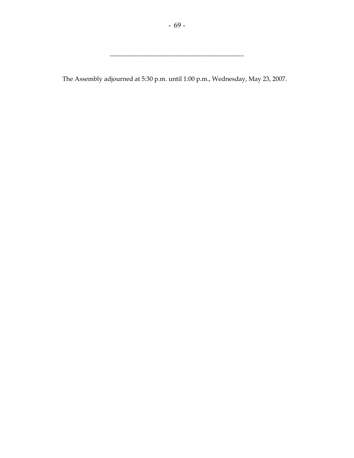\_\_\_\_\_\_\_\_\_\_\_\_\_\_\_\_\_\_\_\_\_\_\_\_\_\_\_\_\_\_\_\_\_\_\_\_\_\_\_\_\_\_

The Assembly adjourned at 5:30 p.m. until 1:00 p.m., Wednesday, May 23, 2007.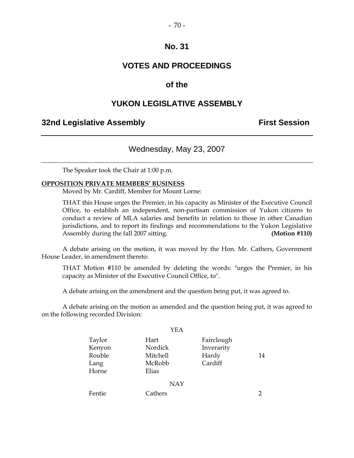## **VOTES AND PROCEEDINGS**

## **of the**

## **YUKON LEGISLATIVE ASSEMBLY**

## **32nd Legislative Assembly The Contract Session**

## Wednesday, May 23, 2007

The Speaker took the Chair at 1:00 p.m.

#### **OPPOSITION PRIVATE MEMBERS' BUSINESS**

Moved by Mr. Cardiff, Member for Mount Lorne:

 THAT this House urges the Premier, in his capacity as Minister of the Executive Council Office, to establish an independent, non-partisan commission of Yukon citizens to conduct a review of MLA salaries and benefits in relation to those in other Canadian jurisdictions, and to report its findings and recommendations to the Yukon Legislative Assembly during the fall 2007 sitting. **(Motion #110)** 

 A debate arising on the motion, it was moved by the Hon. Mr. Cathers, Government House Leader, in amendment thereto:

THAT Motion #110 be amended by deleting the words: "urges the Premier, in his capacity as Minister of the Executive Council Office, to".

A debate arising on the amendment and the question being put, it was agreed to.

 A debate arising on the motion as amended and the question being put, it was agreed to on the following recorded Division:

|                                             | YEA                                            |                                              |    |
|---------------------------------------------|------------------------------------------------|----------------------------------------------|----|
| Taylor<br>Kenyon<br>Rouble<br>Lang<br>Horne | Hart<br>Nordick<br>Mitchell<br>McRobb<br>Elias | Fairclough<br>Inverarity<br>Hardy<br>Cardiff | 14 |
|                                             | <b>NAY</b>                                     |                                              |    |
| Fentie                                      | Cathers                                        |                                              | 2  |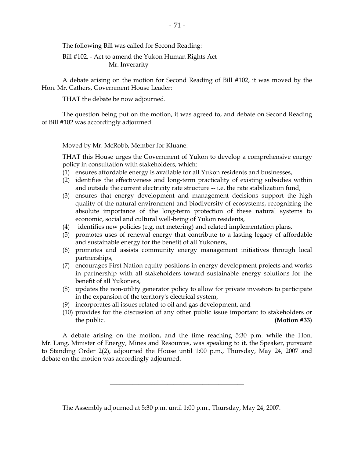The following Bill was called for Second Reading:

 Bill #102, - Act to amend the Yukon Human Rights Act -Mr. Inverarity

 A debate arising on the motion for Second Reading of Bill #102, it was moved by the Hon. Mr. Cathers, Government House Leader:

THAT the debate be now adjourned.

 The question being put on the motion, it was agreed to, and debate on Second Reading of Bill #102 was accordingly adjourned.

Moved by Mr. McRobb, Member for Kluane:

THAT this House urges the Government of Yukon to develop a comprehensive energy policy in consultation with stakeholders, which:

- (1) ensures affordable energy is available for all Yukon residents and businesses,
- (2) identifies the effectiveness and long-term practicality of existing subsidies within and outside the current electricity rate structure -- i.e. the rate stabilization fund,
- (3) ensures that energy development and management decisions support the high quality of the natural environment and biodiversity of ecosystems, recognizing the absolute importance of the long-term protection of these natural systems to economic, social and cultural well-being of Yukon residents,
- (4) identifies new policies (e.g. net metering) and related implementation plans,
- (5) promotes uses of renewal energy that contribute to a lasting legacy of affordable and sustainable energy for the benefit of all Yukoners,
- (6) promotes and assists community energy management initiatives through local partnerships,
- (7) encourages First Nation equity positions in energy development projects and works in partnership with all stakeholders toward sustainable energy solutions for the benefit of all Yukoners,
- (8) updates the non-utility generator policy to allow for private investors to participate in the expansion of the territory's electrical system,
- (9) incorporates all issues related to oil and gas development, and
- (10) provides for the discussion of any other public issue important to stakeholders or the public. **(Motion #33) (Motion 433)**

 A debate arising on the motion, and the time reaching 5:30 p.m. while the Hon. Mr. Lang, Minister of Energy, Mines and Resources, was speaking to it, the Speaker, pursuant to Standing Order 2(2), adjourned the House until 1:00 p.m., Thursday, May 24, 2007 and debate on the motion was accordingly adjourned.

\_\_\_\_\_\_\_\_\_\_\_\_\_\_\_\_\_\_\_\_\_\_\_\_\_\_\_\_\_\_\_\_\_\_\_\_\_\_\_\_\_\_

The Assembly adjourned at 5:30 p.m. until 1:00 p.m., Thursday, May 24, 2007.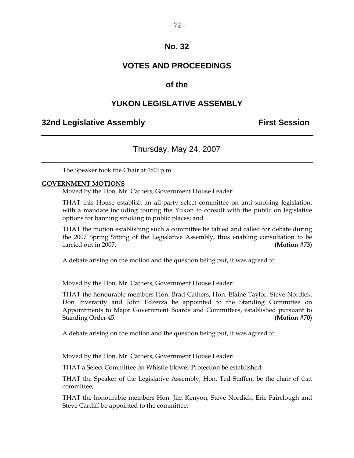### **VOTES AND PROCEEDINGS**

### **of the**

### **YUKON LEGISLATIVE ASSEMBLY**

#### **32nd Legislative Assembly First Session**

### Thursday, May 24, 2007

The Speaker took the Chair at 1:00 p.m.

#### **GOVERNMENT MOTIONS**

Moved by the Hon. Mr. Cathers, Government House Leader:

THAT this House establish an all-party select committee on anti-smoking legislation, with a mandate including touring the Yukon to consult with the public on legislative options for banning smoking in public places; and

THAT the motion establishing such a committee be tabled and called for debate during the 2007 Spring Sitting of the Legislative Assembly, thus enabling consultation to be carried out in 2007. **(Motion #73)** 

A debate arising on the motion and the question being put, it was agreed to.

Moved by the Hon. Mr. Cathers, Government House Leader:

THAT the honourable members Hon. Brad Cathers, Hon. Elaine Taylor, Steve Nordick, Don Inverarity and John Edzerza be appointed to the Standing Committee on Appointments to Major Government Boards and Committees, established pursuant to Standing Order 45. **(Motion #70)** 

A debate arising on the motion and the question being put, it was agreed to.

Moved by the Hon. Mr. Cathers, Government House Leader:

THAT a Select Committee on Whistle-blower Protection be established;

THAT the Speaker of the Legislative Assembly, Hon. Ted Staffen, be the chair of that committee;

THAT the honourable members Hon. Jim Kenyon, Steve Nordick, Eric Fairclough and Steve Cardiff be appointed to the committee;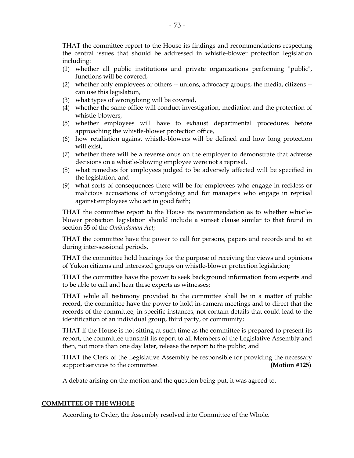THAT the committee report to the House its findings and recommendations respecting the central issues that should be addressed in whistle-blower protection legislation including:

- (1) whether all public institutions and private organizations performing "public", functions will be covered,
- (2) whether only employees or others -- unions, advocacy groups, the media, citizens can use this legislation,
- (3) what types of wrongdoing will be covered,
- (4) whether the same office will conduct investigation, mediation and the protection of whistle-blowers,
- (5) whether employees will have to exhaust departmental procedures before approaching the whistle-blower protection office,
- (6) how retaliation against whistle-blowers will be defined and how long protection will exist,
- (7) whether there will be a reverse onus on the employer to demonstrate that adverse decisions on a whistle-blowing employee were not a reprisal,
- (8) what remedies for employees judged to be adversely affected will be specified in the legislation, and
- (9) what sorts of consequences there will be for employees who engage in reckless or malicious accusations of wrongdoing and for managers who engage in reprisal against employees who act in good faith;

THAT the committee report to the House its recommendation as to whether whistleblower protection legislation should include a sunset clause similar to that found in section 35 of the *Ombudsman Act*;

THAT the committee have the power to call for persons, papers and records and to sit during inter-sessional periods,

THAT the committee hold hearings for the purpose of receiving the views and opinions of Yukon citizens and interested groups on whistle-blower protection legislation;

THAT the committee have the power to seek background information from experts and to be able to call and hear these experts as witnesses;

THAT while all testimony provided to the committee shall be in a matter of public record, the committee have the power to hold in-camera meetings and to direct that the records of the committee, in specific instances, not contain details that could lead to the identification of an individual group, third party, or community;

THAT if the House is not sitting at such time as the committee is prepared to present its report, the committee transmit its report to all Members of the Legislative Assembly and then, not more than one day later, release the report to the public; and

THAT the Clerk of the Legislative Assembly be responsible for providing the necessary support services to the committee. **(Motion #125)** 

A debate arising on the motion and the question being put, it was agreed to.

#### **COMMITTEE OF THE WHOLE**

According to Order, the Assembly resolved into Committee of the Whole.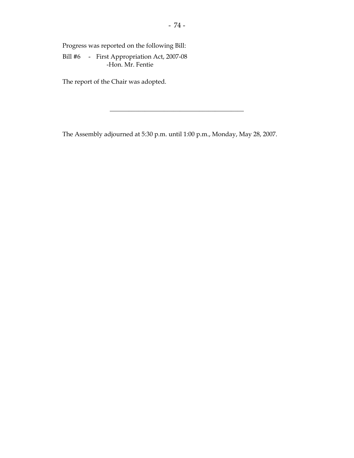Progress was reported on the following Bill:

 Bill #6 - First Appropriation Act, 2007-08 -Hon. Mr. Fentie

The report of the Chair was adopted.

The Assembly adjourned at 5:30 p.m. until 1:00 p.m., Monday, May 28, 2007.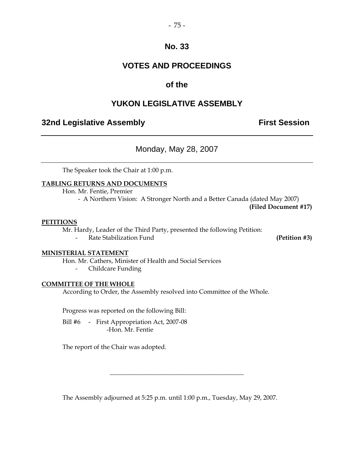### **VOTES AND PROCEEDINGS**

### **of the**

### **YUKON LEGISLATIVE ASSEMBLY**

### **32nd Legislative Assembly The Contract Session**

Monday, May 28, 2007

The Speaker took the Chair at 1:00 p.m.

#### **TABLING RETURNS AND DOCUMENTS**

Hon. Mr. Fentie, Premier

- A Northern Vision: A Stronger North and a Better Canada (dated May 2007)

**(Filed Document #17)** 

#### **PETITIONS**

Mr. Hardy, Leader of the Third Party, presented the following Petition:

Rate Stabilization Fund **(Petition #3)** 

#### **MINISTERIAL STATEMENT**

Hon. Mr. Cathers, Minister of Health and Social Services

- Childcare Funding

#### **COMMITTEE OF THE WHOLE**

According to Order, the Assembly resolved into Committee of the Whole.

Progress was reported on the following Bill:

Bill #6 - First Appropriation Act, 2007-08 -Hon. Mr. Fentie

The report of the Chair was adopted.

The Assembly adjourned at 5:25 p.m. until 1:00 p.m., Tuesday, May 29, 2007.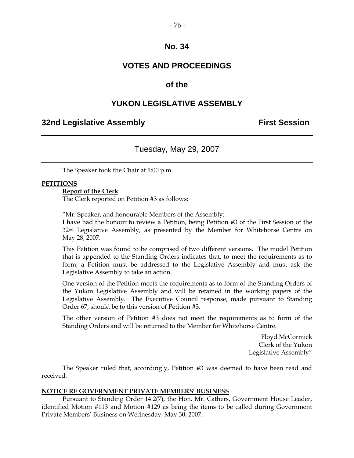### **VOTES AND PROCEEDINGS**

#### **of the**

#### **YUKON LEGISLATIVE ASSEMBLY**

#### **32nd Legislative Assembly First Session**

### Tuesday, May 29, 2007

The Speaker took the Chair at 1:00 p.m.

#### **PETITIONS**

#### **Report of the Clerk**

The Clerk reported on Petition #3 as follows:

"Mr. Speaker, and honourable Members of the Assembly:

I have had the honour to review a Petition, being Petition #3 of the First Session of the 32<sup>nd</sup> Legislative Assembly, as presented by the Member for Whitehorse Centre on May 28, 2007.

This Petition was found to be comprised of two different versions. The model Petition that is appended to the Standing Orders indicates that, to meet the requirements as to form, a Petition must be addressed to the Legislative Assembly and must ask the Legislative Assembly to take an action.

One version of the Petition meets the requirements as to form of the Standing Orders of the Yukon Legislative Assembly and will be retained in the working papers of the Legislative Assembly. The Executive Council response, made pursuant to Standing Order 67, should be to this version of Petition #3.

The other version of Petition #3 does not meet the requirements as to form of the Standing Orders and will be returned to the Member for Whitehorse Centre.

> Floyd McCormick Clerk of the Yukon Legislative Assembly"

 The Speaker ruled that, accordingly, Petition #3 was deemed to have been read and received.

#### **NOTICE RE GOVERNMENT PRIVATE MEMBERS' BUSINESS**

 Pursuant to Standing Order 14.2(7), the Hon. Mr. Cathers, Government House Leader, identified Motion #113 and Motion #129 as being the items to be called during Government Private Members' Business on Wednesday, May 30, 2007.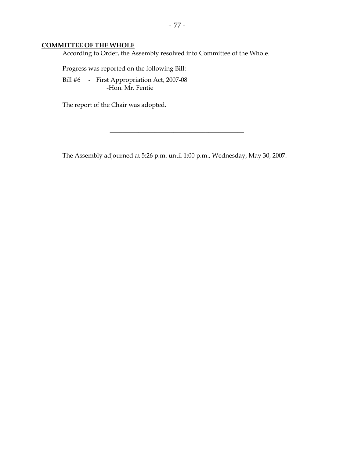#### **COMMITTEE OF THE WHOLE**

According to Order, the Assembly resolved into Committee of the Whole.

Progress was reported on the following Bill:

 Bill #6 - First Appropriation Act, 2007-08 -Hon. Mr. Fentie

The report of the Chair was adopted.

The Assembly adjourned at 5:26 p.m. until 1:00 p.m., Wednesday, May 30, 2007.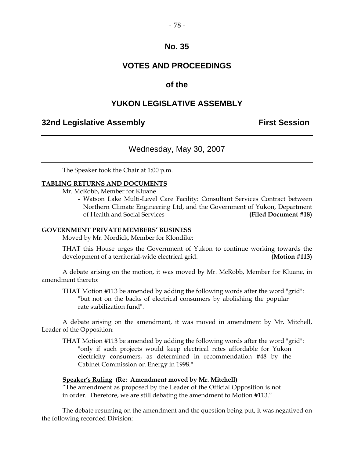### **VOTES AND PROCEEDINGS**

#### **of the**

#### **YUKON LEGISLATIVE ASSEMBLY**

#### **32nd Legislative Assembly The Contract Session**

#### Wednesday, May 30, 2007

The Speaker took the Chair at 1:00 p.m.

#### **TABLING RETURNS AND DOCUMENTS**

Mr. McRobb, Member for Kluane

- Watson Lake Multi-Level Care Facility: Consultant Services Contract between Northern Climate Engineering Ltd, and the Government of Yukon, Department of Health and Social Services **(Filed Document #18)** 

#### **GOVERNMENT PRIVATE MEMBERS' BUSINESS**

Moved by Mr. Nordick, Member for Klondike:

THAT this House urges the Government of Yukon to continue working towards the development of a territorial-wide electrical grid. **(Motion #113)** 

 A debate arising on the motion, it was moved by Mr. McRobb, Member for Kluane, in amendment thereto:

THAT Motion #113 be amended by adding the following words after the word "grid": "but not on the backs of electrical consumers by abolishing the popular rate stabilization fund".

 A debate arising on the amendment, it was moved in amendment by Mr. Mitchell, Leader of the Opposition:

THAT Motion #113 be amended by adding the following words after the word "grid": "only if such projects would keep electrical rates affordable for Yukon electricity consumers, as determined in recommendation #48 by the Cabinet Commission on Energy in 1998."

#### **Speaker's Ruling (Re: Amendment moved by Mr. Mitchell)**

"The amendment as proposed by the Leader of the Official Opposition is not in order. Therefore, we are still debating the amendment to Motion #113."

 The debate resuming on the amendment and the question being put, it was negatived on the following recorded Division: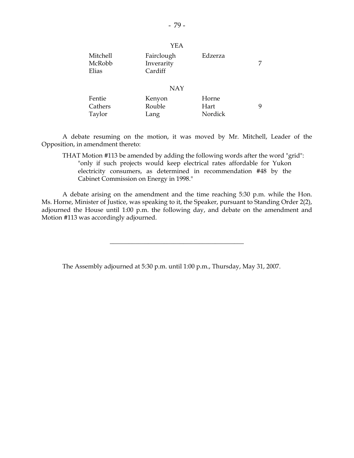| Mitchell<br>McRobb<br>Elias | Fairclough<br>Inverarity<br>Cardiff | Edzerza         |   |  |
|-----------------------------|-------------------------------------|-----------------|---|--|
| <b>NAY</b>                  |                                     |                 |   |  |
| Fentie                      | Kenyon                              | Horne           |   |  |
| Cathers<br>Taylor           | Rouble<br>Lang                      | Hart<br>Nordick | 9 |  |

 A debate resuming on the motion, it was moved by Mr. Mitchell, Leader of the Opposition, in amendment thereto:

THAT Motion #113 be amended by adding the following words after the word "grid": "only if such projects would keep electrical rates affordable for Yukon electricity consumers, as determined in recommendation #48 by the Cabinet Commission on Energy in 1998."

 A debate arising on the amendment and the time reaching 5:30 p.m. while the Hon. Ms. Horne, Minister of Justice, was speaking to it, the Speaker, pursuant to Standing Order 2(2), adjourned the House until 1:00 p.m. the following day, and debate on the amendment and Motion #113 was accordingly adjourned.

\_\_\_\_\_\_\_\_\_\_\_\_\_\_\_\_\_\_\_\_\_\_\_\_\_\_\_\_\_\_\_\_\_\_\_\_\_\_\_\_\_\_

The Assembly adjourned at 5:30 p.m. until 1:00 p.m., Thursday, May 31, 2007.

YEA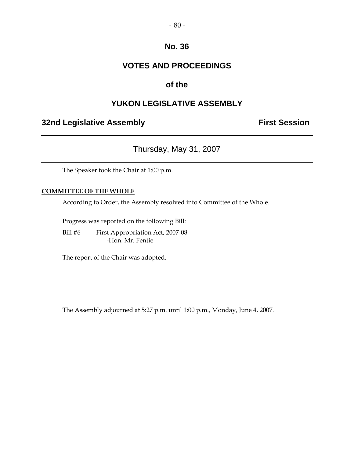### **VOTES AND PROCEEDINGS**

### **of the**

### **YUKON LEGISLATIVE ASSEMBLY**

### **32nd Legislative Assembly Constructed Session**

Thursday, May 31, 2007

The Speaker took the Chair at 1:00 p.m.

#### **COMMITTEE OF THE WHOLE**

According to Order, the Assembly resolved into Committee of the Whole.

Progress was reported on the following Bill:

 Bill #6 - First Appropriation Act, 2007-08 -Hon. Mr. Fentie

The report of the Chair was adopted.

The Assembly adjourned at 5:27 p.m. until 1:00 p.m., Monday, June 4, 2007.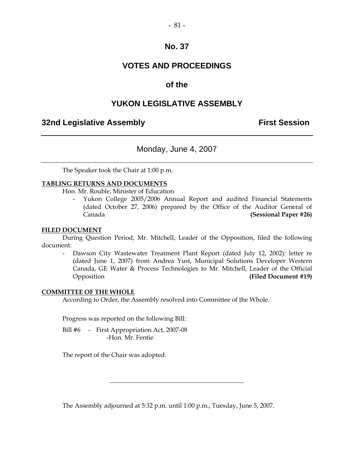### **VOTES AND PROCEEDINGS**

### **of the**

### **YUKON LEGISLATIVE ASSEMBLY**

#### **32nd Legislative Assembly The Contract Session**

#### Monday, June 4, 2007

The Speaker took the Chair at 1:00 p.m.

#### **TABLING RETURNS AND DOCUMENTS**

Hon. Mr. Rouble, Minister of Education

- Yukon College 2005/2006 Annual Report and audited Financial Statements (dated October 27, 2006) prepared by the Office of the Auditor General of Canada **(Sessional Paper #26)** 

#### **FILED DOCUMENT**

 During Question Period, Mr. Mitchell, Leader of the Opposition, filed the following document:

 - Dawson City Wastewater Treatment Plant Report (dated July 12, 2002): letter re (dated June 1, 2007) from Andrea Yust, Municipal Solutions Developer Western Canada, GE Water & Process Technologies to Mr. Mitchell, Leader of the Official Opposition **(Filed Document #19)** 

#### **COMMITTEE OF THE WHOLE**

According to Order, the Assembly resolved into Committee of the Whole.

Progress was reported on the following Bill:

Bill #6 - First Appropriation Act, 2007-08 -Hon. Mr. Fentie

The report of the Chair was adopted.

The Assembly adjourned at 5:32 p.m. until 1:00 p.m., Tuesday, June 5, 2007.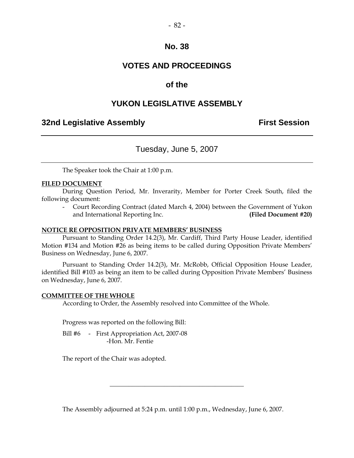### **VOTES AND PROCEEDINGS**

#### **of the**

#### **YUKON LEGISLATIVE ASSEMBLY**

#### **32nd Legislative Assembly The Contract Session**

#### Tuesday, June 5, 2007

The Speaker took the Chair at 1:00 p.m.

#### **FILED DOCUMENT**

 During Question Period, Mr. Inverarity, Member for Porter Creek South, filed the following document:

Court Recording Contract (dated March 4, 2004) between the Government of Yukon and International Reporting Inc. **(Filed Document #20)** 

#### **NOTICE RE OPPOSITION PRIVATE MEMBERS' BUSINESS**

 Pursuant to Standing Order 14.2(3), Mr. Cardiff, Third Party House Leader, identified Motion #134 and Motion #26 as being items to be called during Opposition Private Members' Business on Wednesday, June 6, 2007.

 Pursuant to Standing Order 14.2(3), Mr. McRobb, Official Opposition House Leader, identified Bill #103 as being an item to be called during Opposition Private Members' Business on Wednesday, June 6, 2007.

#### **COMMITTEE OF THE WHOLE**

According to Order, the Assembly resolved into Committee of the Whole.

Progress was reported on the following Bill:

Bill #6 - First Appropriation Act, 2007-08 -Hon. Mr. Fentie

The report of the Chair was adopted.

The Assembly adjourned at 5:24 p.m. until 1:00 p.m., Wednesday, June 6, 2007.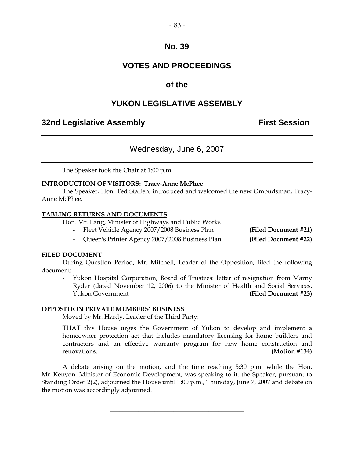### **VOTES AND PROCEEDINGS**

### **of the**

### **YUKON LEGISLATIVE ASSEMBLY**

#### **32nd Legislative Assembly First Session**

### Wednesday, June 6, 2007

The Speaker took the Chair at 1:00 p.m.

#### **INTRODUCTION OF VISITORS: Tracy-Anne McPhee**

 The Speaker, Hon. Ted Staffen, introduced and welcomed the new Ombudsman, Tracy-Anne McPhee.

#### **TABLING RETURNS AND DOCUMENTS**

Hon. Mr. Lang, Minister of Highways and Public Works

- Fleet Vehicle Agency 2007/2008 Business Plan **(Filed Document #21)** 

- Queen's Printer Agency 2007/2008 Business Plan **(Filed Document #22)** 

#### **FILED DOCUMENT**

 During Question Period, Mr. Mitchell, Leader of the Opposition, filed the following document:

 - Yukon Hospital Corporation, Board of Trustees: letter of resignation from Marny Ryder (dated November 12, 2006) to the Minister of Health and Social Services, Yukon Government **(Filed Document #23)** 

#### **OPPOSITION PRIVATE MEMBERS' BUSINESS**

Moved by Mr. Hardy, Leader of the Third Party:

 THAT this House urges the Government of Yukon to develop and implement a homeowner protection act that includes mandatory licensing for home builders and contractors and an effective warranty program for new home construction and renovations. **(Motion #134)** 

 A debate arising on the motion, and the time reaching 5:30 p.m. while the Hon. Mr. Kenyon, Minister of Economic Development, was speaking to it, the Speaker, pursuant to Standing Order 2(2), adjourned the House until 1:00 p.m., Thursday, June 7, 2007 and debate on the motion was accordingly adjourned.

 $\frac{1}{2}$  ,  $\frac{1}{2}$  ,  $\frac{1}{2}$  ,  $\frac{1}{2}$  ,  $\frac{1}{2}$  ,  $\frac{1}{2}$  ,  $\frac{1}{2}$  ,  $\frac{1}{2}$  ,  $\frac{1}{2}$  ,  $\frac{1}{2}$  ,  $\frac{1}{2}$  ,  $\frac{1}{2}$  ,  $\frac{1}{2}$  ,  $\frac{1}{2}$  ,  $\frac{1}{2}$  ,  $\frac{1}{2}$  ,  $\frac{1}{2}$  ,  $\frac{1}{2}$  ,  $\frac{1$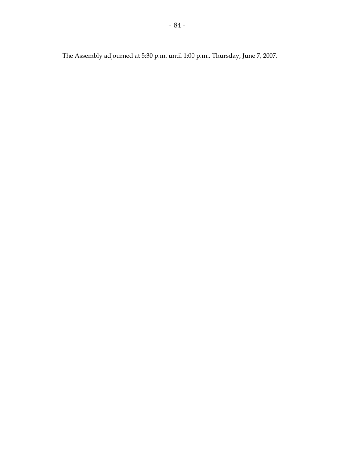The Assembly adjourned at 5:30 p.m. until 1:00 p.m., Thursday, June 7, 2007.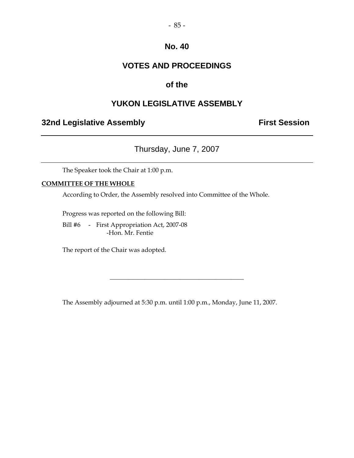### **VOTES AND PROCEEDINGS**

### **of the**

### **YUKON LEGISLATIVE ASSEMBLY**

### **32nd Legislative Assembly Constructed Session**

### Thursday, June 7, 2007

The Speaker took the Chair at 1:00 p.m.

#### **COMMITTEE OF THE WHOLE**

According to Order, the Assembly resolved into Committee of the Whole.

Progress was reported on the following Bill:

 Bill #6 - First Appropriation Act, 2007-08 -Hon. Mr. Fentie

The report of the Chair was adopted.

The Assembly adjourned at 5:30 p.m. until 1:00 p.m., Monday, June 11, 2007.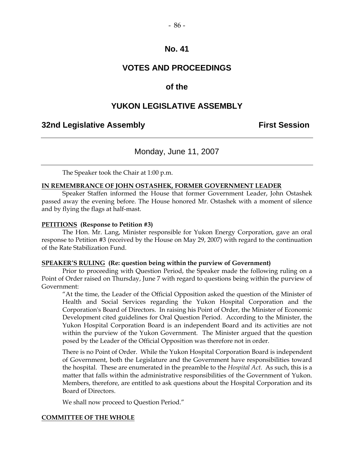### **VOTES AND PROCEEDINGS**

#### **of the**

### **YUKON LEGISLATIVE ASSEMBLY**

#### **32nd Legislative Assembly Constructed Session**

#### Monday, June 11, 2007

The Speaker took the Chair at 1:00 p.m.

#### **IN REMEMBRANCE OF JOHN OSTASHEK, FORMER GOVERNMENT LEADER**

 Speaker Staffen informed the House that former Government Leader, John Ostashek passed away the evening before. The House honored Mr. Ostashek with a moment of silence and by flying the flags at half-mast.

#### **PETITIONS (Response to Petition #3)**

 The Hon. Mr. Lang, Minister responsible for Yukon Energy Corporation, gave an oral response to Petition #3 (received by the House on May 29, 2007) with regard to the continuation of the Rate Stabilization Fund.

#### **SPEAKER'S RULING (Re: question being within the purview of Government)**

 Prior to proceeding with Question Period, the Speaker made the following ruling on a Point of Order raised on Thursday, June 7 with regard to questions being within the purview of Government:

"At the time, the Leader of the Official Opposition asked the question of the Minister of Health and Social Services regarding the Yukon Hospital Corporation and the Corporation's Board of Directors. In raising his Point of Order, the Minister of Economic Development cited guidelines for Oral Question Period. According to the Minister, the Yukon Hospital Corporation Board is an independent Board and its activities are not within the purview of the Yukon Government. The Minister argued that the question posed by the Leader of the Official Opposition was therefore not in order.

There is no Point of Order. While the Yukon Hospital Corporation Board is independent of Government, both the Legislature and the Government have responsibilities toward the hospital. These are enumerated in the preamble to the *Hospital Act*. As such, this is a matter that falls within the administrative responsibilities of the Government of Yukon. Members, therefore, are entitled to ask questions about the Hospital Corporation and its Board of Directors.

We shall now proceed to Question Period."

#### **COMMITTEE OF THE WHOLE**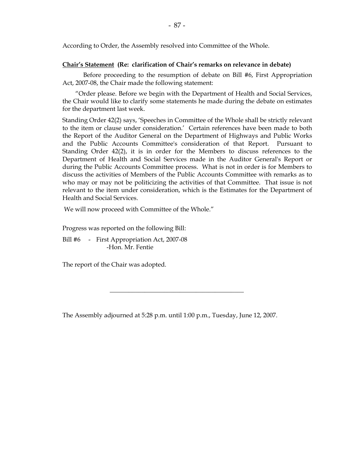According to Order, the Assembly resolved into Committee of the Whole.

#### **Chair's Statement (Re: clarification of Chair's remarks on relevance in debate)**

 Before proceeding to the resumption of debate on Bill #6, First Appropriation Act, 2007-08, the Chair made the following statement:

 "Order please. Before we begin with the Department of Health and Social Services, the Chair would like to clarify some statements he made during the debate on estimates for the department last week.

Standing Order 42(2) says, 'Speeches in Committee of the Whole shall be strictly relevant to the item or clause under consideration.' Certain references have been made to both the Report of the Auditor General on the Department of Highways and Public Works and the Public Accounts Committee's consideration of that Report. Pursuant to Standing Order 42(2), it is in order for the Members to discuss references to the Department of Health and Social Services made in the Auditor General's Report or during the Public Accounts Committee process. What is not in order is for Members to discuss the activities of Members of the Public Accounts Committee with remarks as to who may or may not be politicizing the activities of that Committee. That issue is not relevant to the item under consideration, which is the Estimates for the Department of Health and Social Services.

We will now proceed with Committee of the Whole."

Progress was reported on the following Bill:

Bill #6 - First Appropriation Act, 2007-08 -Hon. Mr. Fentie

The report of the Chair was adopted.

The Assembly adjourned at 5:28 p.m. until 1:00 p.m., Tuesday, June 12, 2007.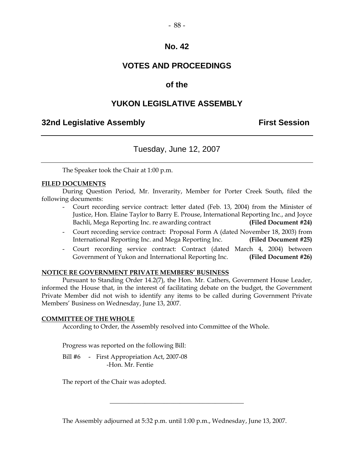### **VOTES AND PROCEEDINGS**

### **of the**

### **YUKON LEGISLATIVE ASSEMBLY**

### **32nd Legislative Assembly First Session**

### Tuesday, June 12, 2007

The Speaker took the Chair at 1:00 p.m.

#### **FILED DOCUMENTS**

 During Question Period, Mr. Inverarity, Member for Porter Creek South, filed the following documents:

- Court recording service contract: letter dated (Feb. 13, 2004) from the Minister of Justice, Hon. Elaine Taylor to Barry E. Prouse, International Reporting Inc., and Joyce Bachli, Mega Reporting Inc. re awarding contract **(Filed Document #24)**
- Court recording service contract: Proposal Form A (dated November 18, 2003) from International Reporting Inc. and Mega Reporting Inc. **(Filed Document #25)**
- Court recording service contract: Contract (dated March 4, 2004) between Government of Yukon and International Reporting Inc. **(Filed Document #26)**

#### **NOTICE RE GOVERNMENT PRIVATE MEMBERS' BUSINESS**

 Pursuant to Standing Order 14.2(7), the Hon. Mr. Cathers, Government House Leader, informed the House that, in the interest of facilitating debate on the budget, the Government Private Member did not wish to identify any items to be called during Government Private Members' Business on Wednesday, June 13, 2007.

#### **COMMITTEE OF THE WHOLE**

According to Order, the Assembly resolved into Committee of the Whole.

Progress was reported on the following Bill:

Bill #6 - First Appropriation Act, 2007-08 -Hon. Mr. Fentie

The report of the Chair was adopted.

The Assembly adjourned at 5:32 p.m. until 1:00 p.m., Wednesday, June 13, 2007.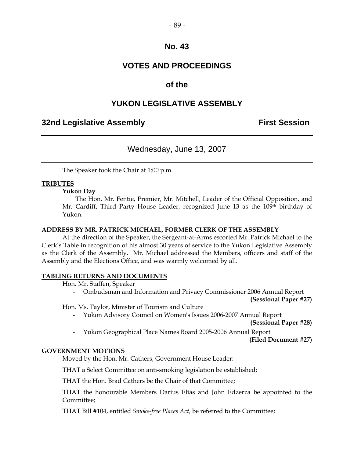### **VOTES AND PROCEEDINGS**

### **of the**

### **YUKON LEGISLATIVE ASSEMBLY**

#### **32nd Legislative Assembly The Contract Session**

### Wednesday, June 13, 2007

The Speaker took the Chair at 1:00 p.m.

#### **TRIBUTES**

#### **Yukon Day**

 The Hon. Mr. Fentie, Premier, Mr. Mitchell, Leader of the Official Opposition, and Mr. Cardiff, Third Party House Leader, recognized June 13 as the 109<sup>th</sup> birthday of Yukon.

#### **ADDRESS BY MR. PATRICK MICHAEL, FORMER CLERK OF THE ASSEMBLY**

 At the direction of the Speaker, the Sergeant-at-Arms escorted Mr. Patrick Michael to the Clerk's Table in recognition of his almost 30 years of service to the Yukon Legislative Assembly as the Clerk of the Assembly. Mr. Michael addressed the Members, officers and staff of the Assembly and the Elections Office, and was warmly welcomed by all.

#### **TABLING RETURNS AND DOCUMENTS**

Hon. Mr. Staffen, Speaker

- Ombudsman and Information and Privacy Commissioner 2006 Annual Report

**(Sessional Paper #27)** 

Hon. Ms. Taylor, Minister of Tourism and Culture

- Yukon Advisory Council on Women's Issues 2006-2007 Annual Report

**(Sessional Paper #28)** 

- Yukon Geographical Place Names Board 2005-2006 Annual Report

**(Filed Document #27)** 

#### **GOVERNMENT MOTIONS**

Moved by the Hon. Mr. Cathers, Government House Leader:

THAT a Select Committee on anti-smoking legislation be established;

THAT the Hon. Brad Cathers be the Chair of that Committee;

THAT the honourable Members Darius Elias and John Edzerza be appointed to the Committee;

THAT Bill #104, entitled *Smoke-free Places Act,* be referred to the Committee;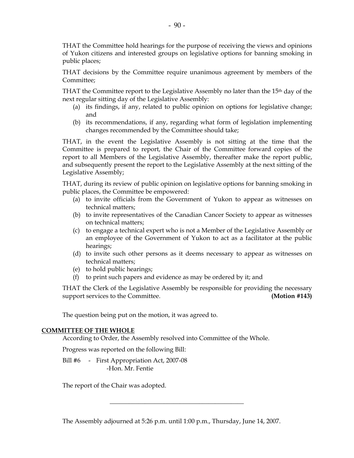THAT the Committee hold hearings for the purpose of receiving the views and opinions of Yukon citizens and interested groups on legislative options for banning smoking in public places;

THAT decisions by the Committee require unanimous agreement by members of the Committee;

THAT the Committee report to the Legislative Assembly no later than the 15<sup>th</sup> day of the next regular sitting day of the Legislative Assembly:

- (a) its findings, if any, related to public opinion on options for legislative change; and
- (b) its recommendations, if any, regarding what form of legislation implementing changes recommended by the Committee should take;

THAT, in the event the Legislative Assembly is not sitting at the time that the Committee is prepared to report, the Chair of the Committee forward copies of the report to all Members of the Legislative Assembly, thereafter make the report public, and subsequently present the report to the Legislative Assembly at the next sitting of the Legislative Assembly;

THAT, during its review of public opinion on legislative options for banning smoking in public places, the Committee be empowered:

- (a) to invite officials from the Government of Yukon to appear as witnesses on technical matters;
- (b) to invite representatives of the Canadian Cancer Society to appear as witnesses on technical matters;
- (c) to engage a technical expert who is not a Member of the Legislative Assembly or an employee of the Government of Yukon to act as a facilitator at the public hearings;
- (d) to invite such other persons as it deems necessary to appear as witnesses on technical matters;
- (e) to hold public hearings;
- (f) to print such papers and evidence as may be ordered by it; and

THAT the Clerk of the Legislative Assembly be responsible for providing the necessary support services to the Committee. **(Motion #143)** 

The question being put on the motion, it was agreed to.

#### **COMMITTEE OF THE WHOLE**

According to Order, the Assembly resolved into Committee of the Whole.

Progress was reported on the following Bill:

Bill #6 - First Appropriation Act, 2007-08 -Hon. Mr. Fentie

The report of the Chair was adopted.

The Assembly adjourned at 5:26 p.m. until 1:00 p.m., Thursday, June 14, 2007.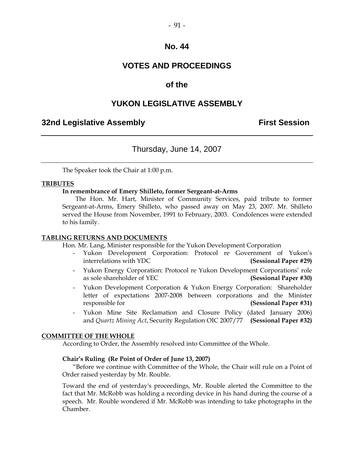### **VOTES AND PROCEEDINGS**

#### **of the**

#### **YUKON LEGISLATIVE ASSEMBLY**

#### **32nd Legislative Assembly The Contract Session**

#### Thursday, June 14, 2007

The Speaker took the Chair at 1:00 p.m.

#### **TRIBUTES**

#### **In remembrance of Emery Shilleto, former Sergeant-at-Arms**

 The Hon. Mr. Hart, Minister of Community Services, paid tribute to former Sergeant-at-Arms, Emery Shilleto, who passed away on May 23, 2007. Mr. Shilleto served the House from November, 1991 to February, 2003. Condolences were extended to his family.

#### **TABLING RETURNS AND DOCUMENTS**

Hon. Mr. Lang, Minister responsible for the Yukon Development Corporation

- Yukon Development Corporation: Protocol re Government of Yukon's interrelations with YDC **(Sessional Paper #29)**
- Yukon Energy Corporation: Protocol re Yukon Development Corporations' role as sole shareholder of YEC **(Sessional Paper #30)**
- Yukon Development Corporation & Yukon Energy Corporation: Shareholder letter of expectations 2007-2008 between corporations and the Minister responsible for **(Sessional Paper #31)**
- Yukon Mine Site Reclamation and Closure Policy (dated January 2006) and *Quartz Mining Act*, Security Regulation OIC 2007/77 **(Sessional Paper #32)**

#### **COMMITTEE OF THE WHOLE**

According to Order, the Assembly resolved into Committee of the Whole.

#### **Chair's Ruling (Re Point of Order of June 13, 2007)**

 "Before we continue with Committee of the Whole, the Chair will rule on a Point of Order raised yesterday by Mr. Rouble.

Toward the end of yesterday's proceedings, Mr. Rouble alerted the Committee to the fact that Mr. McRobb was holding a recording device in his hand during the course of a speech. Mr. Rouble wondered if Mr. McRobb was intending to take photographs in the Chamber.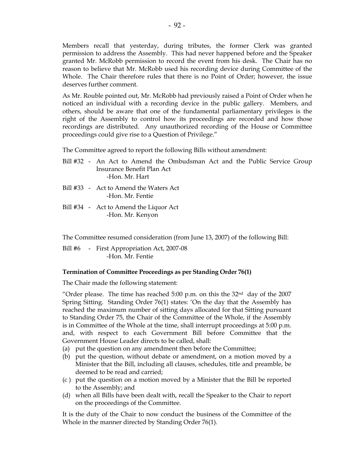Members recall that yesterday, during tributes, the former Clerk was granted permission to address the Assembly. This had never happened before and the Speaker granted Mr. McRobb permission to record the event from his desk. The Chair has no reason to believe that Mr. McRobb used his recording device during Committee of the Whole. The Chair therefore rules that there is no Point of Order; however, the issue deserves further comment.

As Mr. Rouble pointed out, Mr. McRobb had previously raised a Point of Order when he noticed an individual with a recording device in the public gallery. Members, and others, should be aware that one of the fundamental parliamentary privileges is the right of the Assembly to control how its proceedings are recorded and how those recordings are distributed. Any unauthorized recording of the House or Committee proceedings could give rise to a Question of Privilege."

The Committee agreed to report the following Bills without amendment:

- Bill #32 An Act to Amend the Ombudsman Act and the Public Service Group Insurance Benefit Plan Act -Hon. Mr. Hart
- Bill #33 Act to Amend the Waters Act -Hon. Mr. Fentie
- Bill #34 Act to Amend the Liquor Act -Hon. Mr. Kenyon

The Committee resumed consideration (from June 13, 2007) of the following Bill:

Bill #6 - First Appropriation Act, 2007-08 -Hon. Mr. Fentie

#### **Termination of Committee Proceedings as per Standing Order 76(1)**

The Chair made the following statement:

"Order please. The time has reached 5:00 p.m. on this the  $32<sup>nd</sup>$  day of the 2007 Spring Sitting. Standing Order 76(1) states: 'On the day that the Assembly has reached the maximum number of sitting days allocated for that Sitting pursuant to Standing Order 75, the Chair of the Committee of the Whole, if the Assembly is in Committee of the Whole at the time, shall interrupt proceedings at 5:00 p.m. and, with respect to each Government Bill before Committee that the Government House Leader directs to be called, shall:

- (a) put the question on any amendment then before the Committee;
- (b) put the question, without debate or amendment, on a motion moved by a Minister that the Bill, including all clauses, schedules, title and preamble, be deemed to be read and carried;
- (c ) put the question on a motion moved by a Minister that the Bill be reported to the Assembly; and
- (d) when all Bills have been dealt with, recall the Speaker to the Chair to report on the proceedings of the Committee.

It is the duty of the Chair to now conduct the business of the Committee of the Whole in the manner directed by Standing Order 76(1).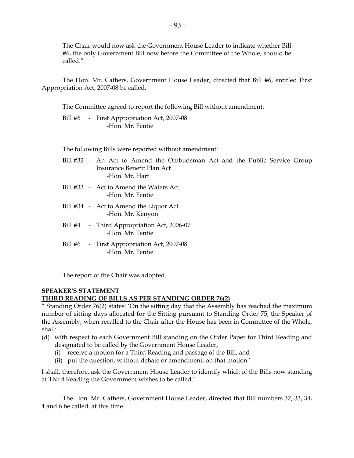The Chair would now ask the Government House Leader to indicate whether Bill #6, the only Government Bill now before the Committee of the Whole, should be called."

The Hon. Mr. Cathers, Government House Leader, directed that Bill #6, entitled First Appropriation Act, 2007-08 be called.

The Committee agreed to report the following Bill without amendment:

 Bill #6 - First Appropriation Act, 2007-08 -Hon. Mr. Fentie

The following Bills were reported without amendment:

- Bill #32 An Act to Amend the Ombudsman Act and the Public Service Group Insurance Benefit Plan Act -Hon. Mr. Hart
- Bill #33 Act to Amend the Waters Act -Hon. Mr. Fentie
- Bill #34 Act to Amend the Liquor Act -Hon. Mr. Kenyon
- Bill #4 Third Appropriation Act, 2006-07 -Hon. Mr. Fentie
- Bill #6 First Appropriation Act, 2007-08 -Hon. Mr. Fentie

The report of the Chair was adopted.

## **SPEAKER'S STATEMENT**

#### **THIRD READING OF BILLS AS PER STANDING ORDER 76(2)**

" Standing Order 76(2) states: 'On the sitting day that the Assembly has reached the maximum number of sitting days allocated for the Sitting pursuant to Standing Order 75, the Speaker of the Assembly, when recalled to the Chair after the House has been in Committee of the Whole, shall:

- (d) with respect to each Government Bill standing on the Order Paper for Third Reading and designated to be called by the Government House Leader,
	- (i) receive a motion for a Third Reading and passage of the Bill, and
	- (ii) put the question, without debate or amendment, on that motion.'

I shall, therefore, ask the Government House Leader to identify which of the Bills now standing at Third Reading the Government wishes to be called."

The Hon. Mr. Cathers, Government House Leader, directed that Bill numbers 32, 33, 34, 4 and 6 be called at this time.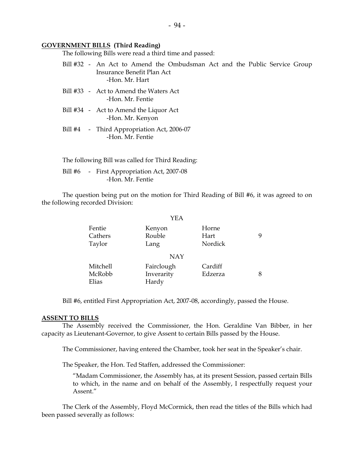#### **GOVERNMENT BILLS (Third Reading)**

The following Bills were read a third time and passed:

- Bill #32 An Act to Amend the Ombudsman Act and the Public Service Group Insurance Benefit Plan Act -Hon. Mr. Hart
- Bill #33 Act to Amend the Waters Act -Hon. Mr. Fentie
- Bill #34 Act to Amend the Liquor Act -Hon. Mr. Kenyon
- Bill #4 Third Appropriation Act, 2006-07 -Hon. Mr. Fentie

The following Bill was called for Third Reading:

Bill #6 - First Appropriation Act, 2007-08 -Hon. Mr. Fentie

 The question being put on the motion for Third Reading of Bill #6, it was agreed to on the following recorded Division:

|                             | YEA                               |                          |   |
|-----------------------------|-----------------------------------|--------------------------|---|
| Fentie<br>Cathers<br>Taylor | Kenyon<br>Rouble<br>Lang          | Horne<br>Hart<br>Nordick | 9 |
|                             | <b>NAY</b>                        |                          |   |
| Mitchell<br>McRobb<br>Elias | Fairclough<br>Inverarity<br>Hardy | Cardiff<br>Edzerza       | 8 |

Bill #6, entitled First Appropriation Act, 2007-08, accordingly, passed the House.

#### **ASSENT TO BILLS**

 The Assembly received the Commissioner, the Hon. Geraldine Van Bibber, in her capacity as Lieutenant-Governor, to give Assent to certain Bills passed by the House.

The Commissioner, having entered the Chamber, took her seat in the Speaker's chair.

The Speaker, the Hon. Ted Staffen, addressed the Commissioner:

 "Madam Commissioner, the Assembly has, at its present Session, passed certain Bills to which, in the name and on behalf of the Assembly, I respectfully request your Assent."

 The Clerk of the Assembly, Floyd McCormick, then read the titles of the Bills which had been passed severally as follows: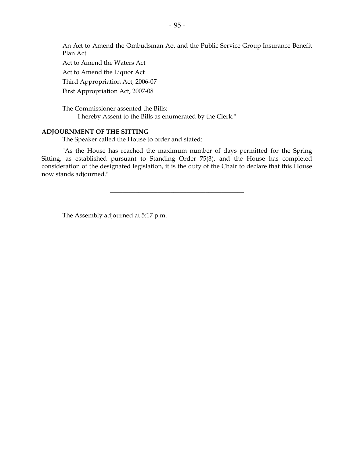An Act to Amend the Ombudsman Act and the Public Service Group Insurance Benefit Plan Act Act to Amend the Waters Act Act to Amend the Liquor Act Third Appropriation Act, 2006-07 First Appropriation Act, 2007-08

 The Commissioner assented the Bills: "I hereby Assent to the Bills as enumerated by the Clerk."

#### **ADJOURNMENT OF THE SITTING**

The Speaker called the House to order and stated:

 "As the House has reached the maximum number of days permitted for the Spring Sitting, as established pursuant to Standing Order 75(3), and the House has completed consideration of the designated legislation, it is the duty of the Chair to declare that this House now stands adjourned."

 $\frac{1}{2}$  ,  $\frac{1}{2}$  ,  $\frac{1}{2}$  ,  $\frac{1}{2}$  ,  $\frac{1}{2}$  ,  $\frac{1}{2}$  ,  $\frac{1}{2}$  ,  $\frac{1}{2}$  ,  $\frac{1}{2}$  ,  $\frac{1}{2}$  ,  $\frac{1}{2}$  ,  $\frac{1}{2}$  ,  $\frac{1}{2}$  ,  $\frac{1}{2}$  ,  $\frac{1}{2}$  ,  $\frac{1}{2}$  ,  $\frac{1}{2}$  ,  $\frac{1}{2}$  ,  $\frac{1$ 

The Assembly adjourned at 5:17 p.m.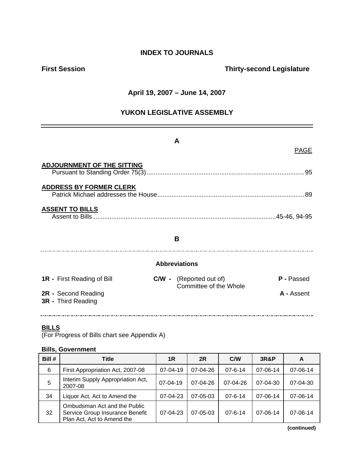### **INDEX TO JOURNALS**

### **First Session Contract Session Contract Session Contract Contract Contract Contract Contract Contract Contract Contract Contract Contract Contract Contract Contract Contract Contract Contract Contract Contract Contract Co**

#### **April 19, 2007 – June 14, 2007**

### **YUKON LEGISLATIVE ASSEMBLY**

| A                                                |                      |                                                          |                   |  |  |  |  |
|--------------------------------------------------|----------------------|----------------------------------------------------------|-------------------|--|--|--|--|
|                                                  |                      |                                                          | <b>PAGE</b>       |  |  |  |  |
| <b>ADJOURNMENT OF THE SITTING</b>                |                      |                                                          | .95               |  |  |  |  |
| <b>ADDRESS BY FORMER CLERK</b>                   |                      |                                                          |                   |  |  |  |  |
| <b>ASSENT TO BILLS</b>                           |                      |                                                          |                   |  |  |  |  |
| B                                                |                      |                                                          |                   |  |  |  |  |
|                                                  | <b>Abbreviations</b> |                                                          |                   |  |  |  |  |
| <b>1R</b> - First Reading of Bill                |                      | <b>C/W</b> - (Reported out of)<br>Committee of the Whole | <b>P</b> - Passed |  |  |  |  |
| 2R - Second Reading<br><b>3R</b> - Third Reading |                      |                                                          | A - Assent        |  |  |  |  |
|                                                  |                      |                                                          |                   |  |  |  |  |

#### **BILLS**

(For Progress of Bills chart see Appendix A)

#### **Bills, Government**

| Bill # | Title                                                                                         | 1R             | 2R             | C/W           | <b>3R&amp;P</b> | A              |
|--------|-----------------------------------------------------------------------------------------------|----------------|----------------|---------------|-----------------|----------------|
| 6      | First Appropriation Act, 2007-08                                                              | $07 - 04 - 19$ | 07-04-26       | $07 - 6 - 14$ | 07-06-14        | 07-06-14       |
| 5      | Interim Supply Appropriation Act,<br>2007-08                                                  | $07-04-19$     | $07-04-26$     | $07-04-26$    | $07 - 04 - 30$  | $07 - 04 - 30$ |
| 34     | Liquor Act, Act to Amend the                                                                  | 07-04-23       | $07 - 05 - 03$ | $07 - 6 - 14$ | $07 - 06 - 14$  | 07-06-14       |
| 32     | Ombudsman Act and the Public<br>Service Group Insurance Benefit<br>Plan Act, Act to Amend the | 07-04-23       | $07 - 05 - 03$ | $07 - 6 - 14$ | 07-06-14        | 07-06-14       |

**(continued)**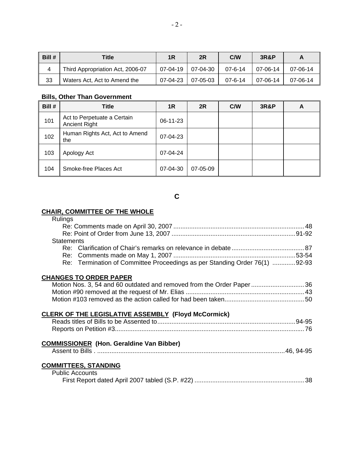| Bill # | Title                            | 1R                | 2R         | C/W           | <b>3R&amp;P</b> |          |
|--------|----------------------------------|-------------------|------------|---------------|-----------------|----------|
| 4      | Third Appropriation Act, 2006-07 | 07-04-19 07-04-30 |            | $07 - 6 - 14$ | 07-06-14        | 07-06-14 |
| 33     | Waters Act, Act to Amend the     | $07-04-23$        | $07-05-03$ | $07 - 6 - 14$ | 07-06-14        | 07-06-14 |

#### **Bills, Other Than Government**

| Bill # | Title                                               | 1R       | 2R       | C/W | <b>3R&amp;P</b> | A |
|--------|-----------------------------------------------------|----------|----------|-----|-----------------|---|
| 101    | Act to Perpetuate a Certain<br><b>Ancient Right</b> | 06-11-23 |          |     |                 |   |
| 102    | Human Rights Act, Act to Amend<br>the               | 07-04-23 |          |     |                 |   |
| 103    | Apology Act                                         | 07-04-24 |          |     |                 |   |
| 104    | Smoke-free Places Act                               | 07-04-30 | 07-05-09 |     |                 |   |

### **C**

#### **CHAIR, COMMITTEE OF THE WHOLE**

| Rulings                                                                    |  |
|----------------------------------------------------------------------------|--|
|                                                                            |  |
|                                                                            |  |
| <b>Statements</b>                                                          |  |
|                                                                            |  |
|                                                                            |  |
| Re: Termination of Committee Proceedings as per Standing Order 76(1) 92-93 |  |
|                                                                            |  |
| <b>CHANGES TO ORDER PAPER</b>                                              |  |
| Motion Nos. 3, 54 and 60 outdated and removed from the Order Paper36       |  |
|                                                                            |  |
|                                                                            |  |
|                                                                            |  |
| CLERK OF THE LEGISLATIVE ASSEMBLY (Floyd McCormick)                        |  |
|                                                                            |  |
|                                                                            |  |
| <b>COMMISSIONER (Hon. Geraldine Van Bibber)</b>                            |  |
|                                                                            |  |
|                                                                            |  |
| <b>COMMITTEES, STANDING</b>                                                |  |
| <b>Public Accounts</b>                                                     |  |
|                                                                            |  |
|                                                                            |  |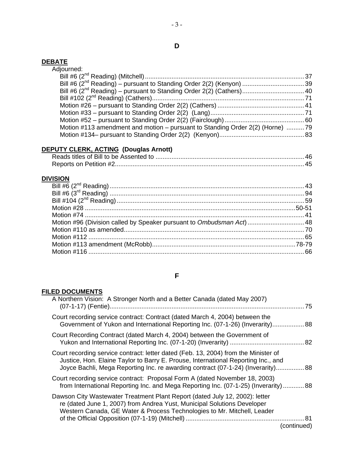#### **DEBATE**

| Adjourned:                                                                    |  |
|-------------------------------------------------------------------------------|--|
|                                                                               |  |
|                                                                               |  |
|                                                                               |  |
|                                                                               |  |
|                                                                               |  |
|                                                                               |  |
|                                                                               |  |
| Motion #113 amendment and motion – pursuant to Standing Order 2(2) (Horne) 79 |  |
|                                                                               |  |
|                                                                               |  |

### **DEPUTY CLERK, ACTING (Douglas Arnott)**

| Reports on Petition #2. |  |
|-------------------------|--|

### **DIVISION**

| Motion #96 (Division called by Speaker pursuant to Ombudsman Act)  48 |  |
|-----------------------------------------------------------------------|--|
|                                                                       |  |
|                                                                       |  |
|                                                                       |  |
|                                                                       |  |

### **F**

### **FILED DOCUMENTS**

| A Northern Vision: A Stronger North and a Better Canada (dated May 2007)<br>75                                                                                                                                                                               |  |
|--------------------------------------------------------------------------------------------------------------------------------------------------------------------------------------------------------------------------------------------------------------|--|
| Court recording service contract: Contract (dated March 4, 2004) between the<br>Government of Yukon and International Reporting Inc. (07-1-26) (Inverarity) 88                                                                                               |  |
| Court Recording Contract (dated March 4, 2004) between the Government of                                                                                                                                                                                     |  |
| Court recording service contract: letter dated (Feb. 13, 2004) from the Minister of<br>Justice, Hon. Elaine Taylor to Barry E. Prouse, International Reporting Inc., and<br>Joyce Bachli, Mega Reporting Inc. re awarding contract (07-1-24) (Inverarity) 88 |  |
| Court recording service contract: Proposal Form A (dated November 18, 2003)<br>from International Reporting Inc. and Mega Reporting Inc. (07-1-25) (Inverarity) 88                                                                                           |  |
| Dawson City Wastewater Treatment Plant Report (dated July 12, 2002): letter<br>re (dated June 1, 2007) from Andrea Yust, Municipal Solutions Developer<br>Western Canada, GE Water & Process Technologies to Mr. Mitchell, Leader<br>(continued)             |  |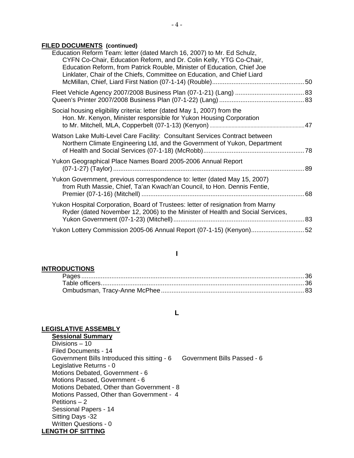#### **FILED DOCUMENTS (continued)**

| Education Reform Team: letter (dated March 16, 2007) to Mr. Ed Schulz,<br>CYFN Co-Chair, Education Reform, and Dr. Colin Kelly, YTG Co-Chair,<br>Education Reform, from Patrick Rouble, Minister of Education, Chief Joe<br>Linklater, Chair of the Chiefs, Committee on Education, and Chief Liard |  |
|-----------------------------------------------------------------------------------------------------------------------------------------------------------------------------------------------------------------------------------------------------------------------------------------------------|--|
|                                                                                                                                                                                                                                                                                                     |  |
| Social housing eligibility criteria: letter (dated May 1, 2007) from the<br>Hon. Mr. Kenyon, Minister responsible for Yukon Housing Corporation                                                                                                                                                     |  |
| Watson Lake Multi-Level Care Facility: Consultant Services Contract between<br>Northern Climate Engineering Ltd, and the Government of Yukon, Department                                                                                                                                            |  |
| Yukon Geographical Place Names Board 2005-2006 Annual Report                                                                                                                                                                                                                                        |  |
| Yukon Government, previous correspondence to: letter (dated May 15, 2007)<br>from Ruth Massie, Chief, Ta'an Kwach'an Council, to Hon. Dennis Fentie,                                                                                                                                                |  |
| Yukon Hospital Corporation, Board of Trustees: letter of resignation from Marny<br>Ryder (dated November 12, 2006) to the Minister of Health and Social Services,                                                                                                                                   |  |
| Yukon Lottery Commission 2005-06 Annual Report (07-1-15) (Kenyon)52                                                                                                                                                                                                                                 |  |

#### **I**

#### **INTRODUCTIONS**

#### **L**

#### **LEGISLATIVE ASSEMBLY**

**Sessional Summary** Divisions – 10 Filed Documents - 14 Government Bills Introduced this sitting - 6 Government Bills Passed - 6 Legislative Returns - 0 Motions Debated, Government - 6 Motions Passed, Government - 6 Motions Debated, Other than Government - 8 Motions Passed, Other than Government - 4 Petitions – 2 Sessional Papers - 14 Sitting Days -32 Written Questions - 0 **LENGTH OF SITTING**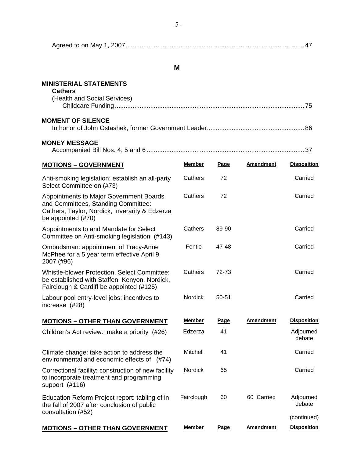| Aareed to on<br>Mav |  |  |
|---------------------|--|--|
|---------------------|--|--|

#### **M**

### **MINISTERIAL STATEMENTS**

| <b>Cathers</b>               |  |
|------------------------------|--|
| (Health and Social Services) |  |
|                              |  |
|                              |  |
| <b>MOMENT OF SILENCE</b>     |  |
|                              |  |

### **MONEY MESSAGE**

|--|

| <b>MOTIONS - GOVERNMENT</b>                                                                                                                               | <b>Member</b>  | Page  | <b>Amendment</b> | <b>Disposition</b>  |
|-----------------------------------------------------------------------------------------------------------------------------------------------------------|----------------|-------|------------------|---------------------|
| Anti-smoking legislation: establish an all-party<br>Select Committee on (#73)                                                                             | Cathers        | 72    |                  | Carried             |
| Appointments to Major Government Boards<br>and Committees, Standing Committee:<br>Cathers, Taylor, Nordick, Inverarity & Edzerza<br>be appointed $(\#70)$ | Cathers        | 72    |                  | Carried             |
| Appointments to and Mandate for Select<br>Committee on Anti-smoking legislation (#143)                                                                    | Cathers        | 89-90 |                  | Carried             |
| Ombudsman: appointment of Tracy-Anne<br>McPhee for a 5 year term effective April 9,<br>2007 (#96)                                                         | Fentie         | 47-48 |                  | Carried             |
| Whistle-blower Protection, Select Committee:<br>be established with Staffen, Kenyon, Nordick,<br>Fairclough & Cardiff be appointed (#125)                 | Cathers        | 72-73 |                  | Carried             |
| Labour pool entry-level jobs: incentives to<br>increase (#28)                                                                                             | Nordick        | 50-51 |                  | Carried             |
| <b>MOTIONS - OTHER THAN GOVERNMENT</b>                                                                                                                    | <b>Member</b>  | Page  | <b>Amendment</b> | <b>Disposition</b>  |
| Children's Act review: make a priority (#26)                                                                                                              | Edzerza        | 41    |                  | Adjourned<br>debate |
| Climate change: take action to address the<br>environmental and economic effects of (#74)                                                                 | Mitchell       | 41    |                  | Carried             |
| Correctional facility: construction of new facility<br>to incorporate treatment and programming<br>support $(#116)$                                       | <b>Nordick</b> | 65    |                  | Carried             |
| Education Reform Project report: tabling of in<br>the fall of 2007 after conclusion of public<br>consultation (#52)                                       | Fairclough     | 60    | 60 Carried       | Adjourned<br>debate |
|                                                                                                                                                           |                |       |                  | (continued)         |
| <b>MOTIONS - OTHER THAN GOVERNMENT</b>                                                                                                                    | <b>Member</b>  | Page  | <b>Amendment</b> | <b>Disposition</b>  |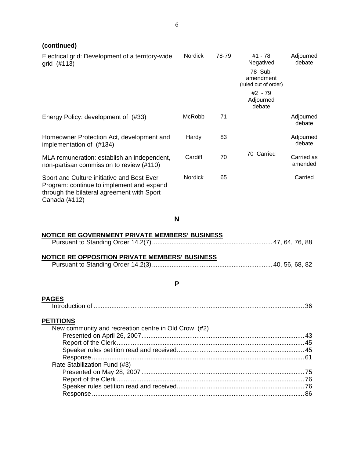| - <sub>/</sub>                                                                                                                                         |                |       |                                                                      |                       |
|--------------------------------------------------------------------------------------------------------------------------------------------------------|----------------|-------|----------------------------------------------------------------------|-----------------------|
| Electrical grid: Development of a territory-wide<br>grid $(\#113)$                                                                                     | <b>Nordick</b> | 78-79 | #1 - 78<br>Negatived<br>78 Sub-<br>amendment<br>(ruled out of order) | Adjourned<br>debate   |
|                                                                                                                                                        |                |       | #2 - 79<br>Adjourned<br>debate                                       |                       |
| Energy Policy: development of (#33)                                                                                                                    | McRobb         | 71    |                                                                      | Adjourned<br>debate   |
| Homeowner Protection Act, development and<br>implementation of (#134)                                                                                  | Hardy          | 83    |                                                                      | Adjourned<br>debate   |
| MLA remuneration: establish an independent,<br>non-partisan commission to review (#110)                                                                | Cardiff        | 70    | 70 Carried                                                           | Carried as<br>amended |
| Sport and Culture initiative and Best Ever<br>Program: continue to implement and expand<br>through the bilateral agreement with Sport<br>Canada (#112) | <b>Nordick</b> | 65    |                                                                      | Carried               |

**N** 

#### **NOTICE RE GOVERNMENT PRIVATE MEMBERS' BUSINESS**

|--|--|

#### **NOTICE RE OPPOSITION PRIVATE MEMBERS' BUSINESS**

|--|--|--|--|

#### **P**

# **PAGES**

|--|--|--|

#### **PETITIONS**

| New community and recreation centre in Old Crow (#2) |  |
|------------------------------------------------------|--|
|                                                      |  |
|                                                      |  |
|                                                      |  |
|                                                      |  |
| Rate Stabilization Fund (#3)                         |  |
|                                                      |  |
|                                                      |  |
|                                                      |  |
|                                                      |  |
|                                                      |  |

## **(continued)**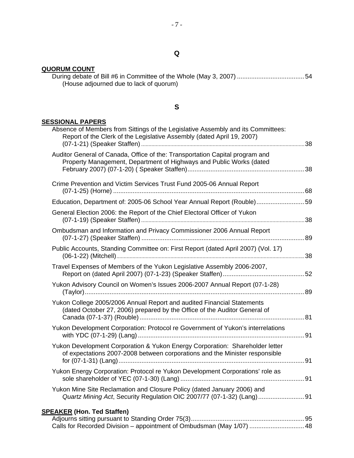### **QUORUM COUNT**

|  | (House adjourned due to lack of quorum) |  |  |  |
|--|-----------------------------------------|--|--|--|

### **S**

### **SESSIONAL PAPERS**

| Absence of Members from Sittings of the Legislative Assembly and its Committees:<br>Report of the Clerk of the Legislative Assembly (dated April 19, 2007)  |  |
|-------------------------------------------------------------------------------------------------------------------------------------------------------------|--|
| Auditor General of Canada, Office of the: Transportation Capital program and<br>Property Management, Department of Highways and Public Works (dated         |  |
| Crime Prevention and Victim Services Trust Fund 2005-06 Annual Report                                                                                       |  |
| Education, Department of: 2005-06 School Year Annual Report (Rouble)59                                                                                      |  |
| General Election 2006: the Report of the Chief Electoral Officer of Yukon                                                                                   |  |
| Ombudsman and Information and Privacy Commissioner 2006 Annual Report                                                                                       |  |
| Public Accounts, Standing Committee on: First Report (dated April 2007) (Vol. 17)                                                                           |  |
| Travel Expenses of Members of the Yukon Legislative Assembly 2006-2007,                                                                                     |  |
| Yukon Advisory Council on Women's Issues 2006-2007 Annual Report (07-1-28)                                                                                  |  |
| Yukon College 2005/2006 Annual Report and audited Financial Statements<br>(dated October 27, 2006) prepared by the Office of the Auditor General of         |  |
| Yukon Development Corporation: Protocol re Government of Yukon's interrelations                                                                             |  |
| Yukon Development Corporation & Yukon Energy Corporation: Shareholder letter<br>of expectations 2007-2008 between corporations and the Minister responsible |  |
| Yukon Energy Corporation: Protocol re Yukon Development Corporations' role as                                                                               |  |
| Yukon Mine Site Reclamation and Closure Policy (dated January 2006) and                                                                                     |  |
| <b>SPEAKER (Hon. Ted Staffen)</b>                                                                                                                           |  |
| Calls for Recorded Division - appointment of Ombudsman (May 1/07)  48                                                                                       |  |

### **Q**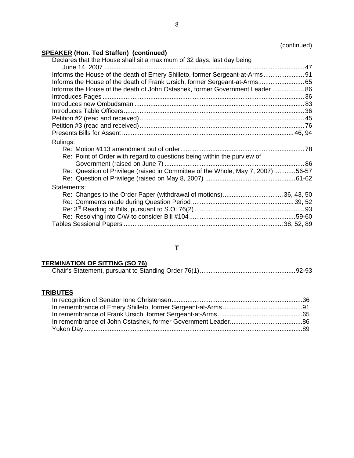### (continued)

### **SPEAKER (Hon. Ted Staffen) (continued)**

| Declares that the House shall sit a maximum of 32 days, last day being          |  |
|---------------------------------------------------------------------------------|--|
| Informs the House of the death of Emery Shilleto, former Sergeant-at-Arms 91    |  |
| Informs the House of the death of Frank Ursich, former Sergeant-at-Arms 65      |  |
| Informs the House of the death of John Ostashek, former Government Leader  86   |  |
|                                                                                 |  |
|                                                                                 |  |
|                                                                                 |  |
|                                                                                 |  |
|                                                                                 |  |
|                                                                                 |  |
| Rulings:                                                                        |  |
|                                                                                 |  |
| Re: Point of Order with regard to questions being within the purview of         |  |
|                                                                                 |  |
|                                                                                 |  |
| Re: Question of Privilege (raised in Committee of the Whole, May 7, 2007) 56-57 |  |
|                                                                                 |  |
| Statements:                                                                     |  |
|                                                                                 |  |
|                                                                                 |  |
|                                                                                 |  |
|                                                                                 |  |

### **T**

#### **TERMINATION OF SITTING (SO 76)**

#### **TRIBUTES**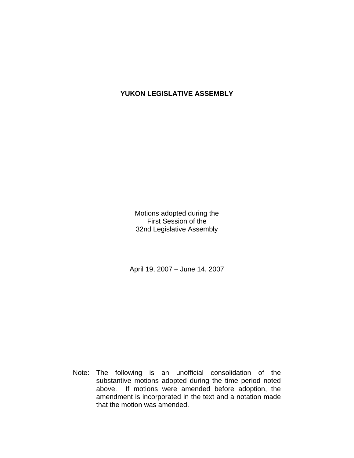### **YUKON LEGISLATIVE ASSEMBLY**

Motions adopted during the First Session of the 32nd Legislative Assembly

April 19, 2007 – June 14, 2007

 Note: The following is an unofficial consolidation of the substantive motions adopted during the time period noted above. If motions were amended before adoption, the amendment is incorporated in the text and a notation made that the motion was amended.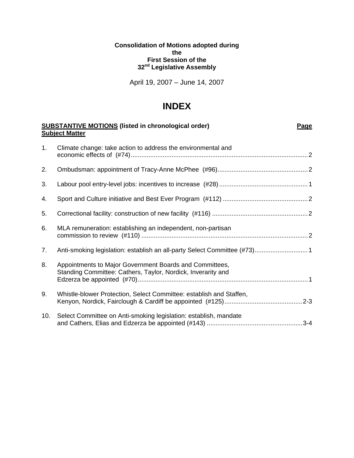**Consolidation of Motions adopted during the First Session of the 32nd Legislative Assembly** 

April 19, 2007 – June 14, 2007

# **INDEX**

|     | <b>SUBSTANTIVE MOTIONS (listed in chronological order)</b><br><b>Page</b><br><b>Subject Matter</b>                      |  |  |  |  |
|-----|-------------------------------------------------------------------------------------------------------------------------|--|--|--|--|
| 1.  | Climate change: take action to address the environmental and                                                            |  |  |  |  |
| 2.  |                                                                                                                         |  |  |  |  |
| 3.  |                                                                                                                         |  |  |  |  |
| 4.  |                                                                                                                         |  |  |  |  |
| 5.  |                                                                                                                         |  |  |  |  |
| 6.  | MLA remuneration: establishing an independent, non-partisan                                                             |  |  |  |  |
| 7.  | Anti-smoking legislation: establish an all-party Select Committee (#73) 1                                               |  |  |  |  |
| 8.  | Appointments to Major Government Boards and Committees,<br>Standing Committee: Cathers, Taylor, Nordick, Inverarity and |  |  |  |  |
| 9.  | Whistle-blower Protection, Select Committee: establish and Staffen,                                                     |  |  |  |  |
| 10. | Select Committee on Anti-smoking legislation: establish, mandate                                                        |  |  |  |  |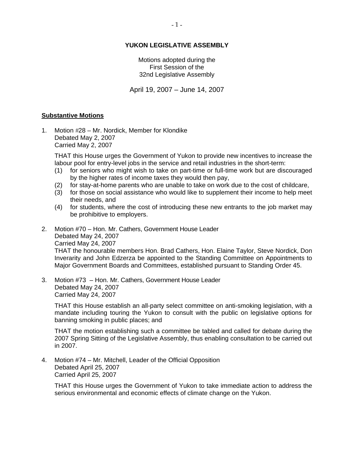#### **YUKON LEGISLATIVE ASSEMBLY**

Motions adopted during the First Session of the 32nd Legislative Assembly

April 19, 2007 – June 14, 2007

#### **Substantive Motions**

1. Motion #28 – Mr. Nordick, Member for Klondike Debated May 2, 2007 Carried May 2, 2007

 THAT this House urges the Government of Yukon to provide new incentives to increase the labour pool for entry-level jobs in the service and retail industries in the short-term:

- (1) for seniors who might wish to take on part-time or full-time work but are discouraged by the higher rates of income taxes they would then pay,
- (2) for stay-at-home parents who are unable to take on work due to the cost of childcare,
- (3) for those on social assistance who would like to supplement their income to help meet their needs, and
- (4) for students, where the cost of introducing these new entrants to the job market may be prohibitive to employers.
- 2. Motion #70 Hon. Mr. Cathers, Government House Leader Debated May 24, 2007 Carried May 24, 2007 THAT the honourable members Hon. Brad Cathers, Hon. Elaine Taylor, Steve Nordick, Don Inverarity and John Edzerza be appointed to the Standing Committee on Appointments to Major Government Boards and Committees, established pursuant to Standing Order 45.
- 3. Motion #73 Hon. Mr. Cathers, Government House Leader Debated May 24, 2007 Carried May 24, 2007

 THAT this House establish an all-party select committee on anti-smoking legislation, with a mandate including touring the Yukon to consult with the public on legislative options for banning smoking in public places; and

 THAT the motion establishing such a committee be tabled and called for debate during the 2007 Spring Sitting of the Legislative Assembly, thus enabling consultation to be carried out in 2007.

4. Motion #74 – Mr. Mitchell, Leader of the Official Opposition Debated April 25, 2007 Carried April 25, 2007

 THAT this House urges the Government of Yukon to take immediate action to address the serious environmental and economic effects of climate change on the Yukon.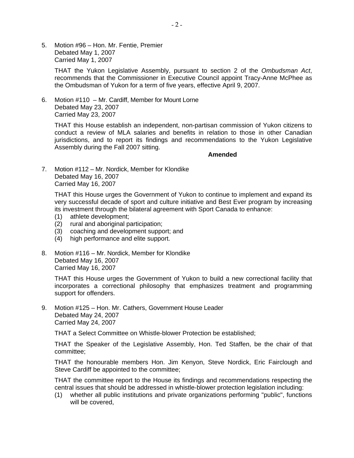5. Motion #96 – Hon. Mr. Fentie, Premier Debated May 1, 2007 Carried May 1, 2007

> THAT the Yukon Legislative Assembly, pursuant to section 2 of the *Ombudsman Act*, recommends that the Commissioner in Executive Council appoint Tracy-Anne McPhee as the Ombudsman of Yukon for a term of five years, effective April 9, 2007.

6. Motion #110 – Mr. Cardiff, Member for Mount Lorne Debated May 23, 2007 Carried May 23, 2007

 THAT this House establish an independent, non-partisan commission of Yukon citizens to conduct a review of MLA salaries and benefits in relation to those in other Canadian jurisdictions, and to report its findings and recommendations to the Yukon Legislative Assembly during the Fall 2007 sitting.

 **Amended** 

7. Motion #112 – Mr. Nordick, Member for Klondike Debated May 16, 2007 Carried May 16, 2007

 THAT this House urges the Government of Yukon to continue to implement and expand its very successful decade of sport and culture initiative and Best Ever program by increasing its investment through the bilateral agreement with Sport Canada to enhance:

- (1) athlete development;
- (2) rural and aboriginal participation;
- (3) coaching and development support; and
- (4) high performance and elite support.
- 8. Motion #116 Mr. Nordick, Member for Klondike Debated May 16, 2007 Carried May 16, 2007

THAT this House urges the Government of Yukon to build a new correctional facility that incorporates a correctional philosophy that emphasizes treatment and programming support for offenders.

9. Motion #125 – Hon. Mr. Cathers, Government House Leader Debated May 24, 2007 Carried May 24, 2007

THAT a Select Committee on Whistle-blower Protection be established;

 THAT the Speaker of the Legislative Assembly, Hon. Ted Staffen, be the chair of that committee;

 THAT the honourable members Hon. Jim Kenyon, Steve Nordick, Eric Fairclough and Steve Cardiff be appointed to the committee;

 THAT the committee report to the House its findings and recommendations respecting the central issues that should be addressed in whistle-blower protection legislation including:

 (1) whether all public institutions and private organizations performing "public", functions will be covered,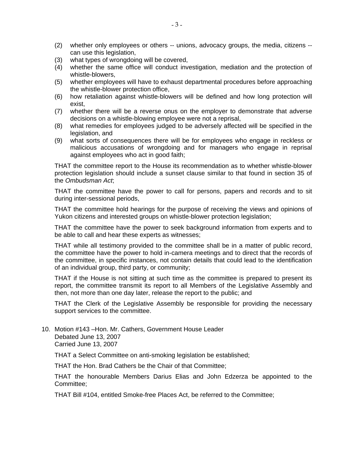- (2) whether only employees or others -- unions, advocacy groups, the media, citizens can use this legislation,
- (3) what types of wrongdoing will be covered,
- (4) whether the same office will conduct investigation, mediation and the protection of whistle-blowers,
- (5) whether employees will have to exhaust departmental procedures before approaching the whistle-blower protection office,
- (6) how retaliation against whistle-blowers will be defined and how long protection will exist,
- (7) whether there will be a reverse onus on the employer to demonstrate that adverse decisions on a whistle-blowing employee were not a reprisal,
- (8) what remedies for employees judged to be adversely affected will be specified in the legislation, and
- (9) what sorts of consequences there will be for employees who engage in reckless or malicious accusations of wrongdoing and for managers who engage in reprisal against employees who act in good faith;

 THAT the committee report to the House its recommendation as to whether whistle-blower protection legislation should include a sunset clause similar to that found in section 35 of the *Ombudsman Act*;

 THAT the committee have the power to call for persons, papers and records and to sit during inter-sessional periods,

 THAT the committee hold hearings for the purpose of receiving the views and opinions of Yukon citizens and interested groups on whistle-blower protection legislation;

 THAT the committee have the power to seek background information from experts and to be able to call and hear these experts as witnesses;

 THAT while all testimony provided to the committee shall be in a matter of public record, the committee have the power to hold in-camera meetings and to direct that the records of the committee, in specific instances, not contain details that could lead to the identification of an individual group, third party, or community;

 THAT if the House is not sitting at such time as the committee is prepared to present its report, the committee transmit its report to all Members of the Legislative Assembly and then, not more than one day later, release the report to the public; and

 THAT the Clerk of the Legislative Assembly be responsible for providing the necessary support services to the committee.

10. Motion #143 –Hon. Mr. Cathers, Government House Leader Debated June 13, 2007 Carried June 13, 2007

THAT a Select Committee on anti-smoking legislation be established;

THAT the Hon. Brad Cathers be the Chair of that Committee;

 THAT the honourable Members Darius Elias and John Edzerza be appointed to the Committee;

THAT Bill #104, entitled Smoke-free Places Act, be referred to the Committee;